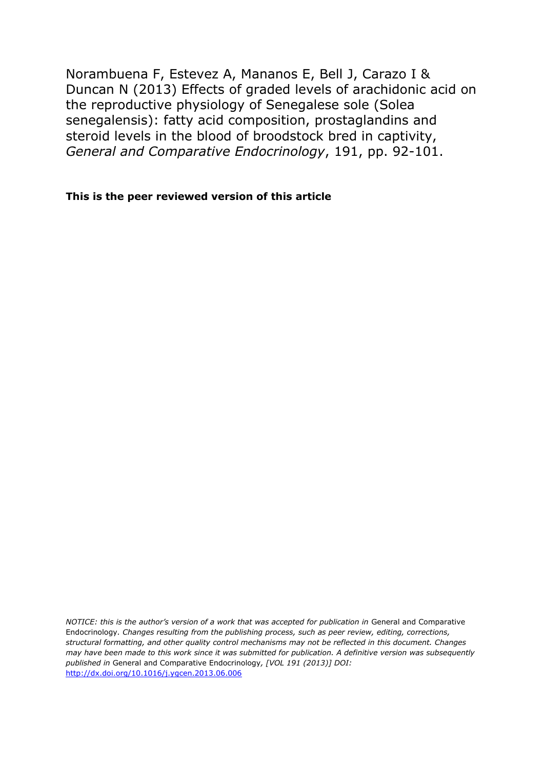Norambuena F, Estevez A, Mananos E, Bell J, Carazo I & Duncan N (2013) Effects of graded levels of arachidonic acid on the reproductive physiology of Senegalese sole (Solea senegalensis): fatty acid composition, prostaglandins and steroid levels in the blood of broodstock bred in captivity, *General and Comparative Endocrinology*, 191, pp. 92-101.

**This is the peer reviewed version of this article**

*NOTICE: this is the author's version of a work that was accepted for publication in General and Comparative* Endocrinology*. Changes resulting from the publishing process, such as peer review, editing, corrections, structural formatting, and other quality control mechanisms may not be reflected in this document. Changes may have been made to this work since it was submitted for publication. A definitive version was subsequently published in* General and Comparative Endocrinology*, [VOL 191 (2013)] DOI:* <http://dx.doi.org/10.1016/j.ygcen.2013.06.006>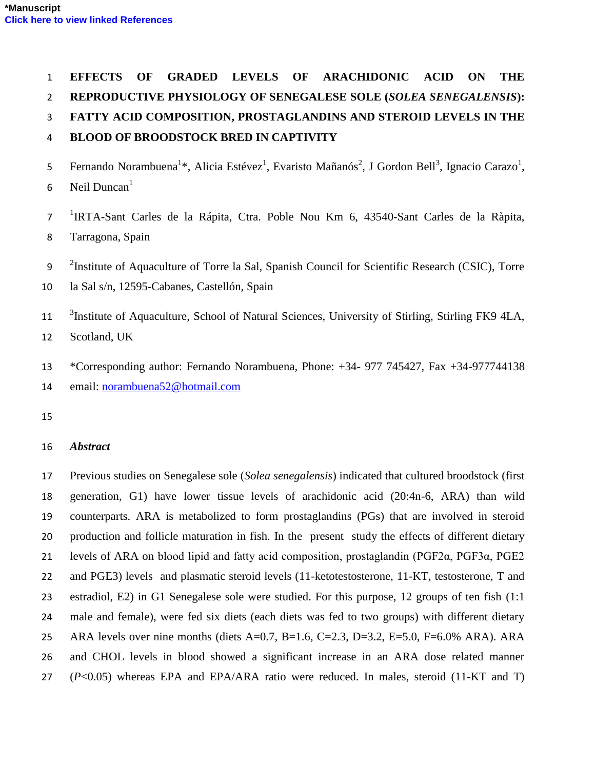# **EFFECTS OF GRADED LEVELS OF ARACHIDONIC ACID ON THE**

**REPRODUCTIVE PHYSIOLOGY OF SENEGALESE SOLE (***SOLEA SENEGALENSIS***):** 

**FATTY ACID COMPOSITION, PROSTAGLANDINS AND STEROID LEVELS IN THE** 

# **BLOOD OF BROODSTOCK BRED IN CAPTIVITY**

- 5 Fernando Norambuena<sup>1</sup>\*, Alicia Estévez<sup>1</sup>, Evaristo Mañanós<sup>2</sup>, J Gordon Bell<sup>3</sup>, Ignacio Carazo<sup>1</sup>,
- 6 Neil Duncan<sup>1</sup>
- <sup>1</sup>IRTA-Sant Carles de la Rápita, Ctra. Poble Nou Km 6, 43540-Sant Carles de la Ràpita, Tarragona, Spain
- <sup>2</sup>Institute of Aquaculture of Torre la Sal, Spanish Council for Scientific Research (CSIC), Torre
- la Sal s/n, 12595-Cabanes, Castellón, Spain
- <sup>3</sup>Institute of Aquaculture, School of Natural Sciences, University of Stirling, Stirling FK9 4LA, Scotland, UK
- \*Corresponding author: Fernando Norambuena, Phone: +34- 977 745427, Fax +34-977744138 email: [norambuena52@hotmail.com](mailto:norambuena52@hotmail.com)
- 

# *Abstract*

 Previous studies on Senegalese sole (*Solea senegalensis*) indicated that cultured broodstock (first generation, G1) have lower tissue levels of arachidonic acid (20:4n-6, ARA) than wild counterparts. ARA is metabolized to form prostaglandins (PGs) that are involved in steroid production and follicle maturation in fish. In the present study the effects of different dietary levels of ARA on blood lipid and fatty acid composition, prostaglandin (PGF2α, PGF3α, PGE2 and PGE3) levels and plasmatic steroid levels (11-ketotestosterone, 11-KT, testosterone, T and estradiol, E2) in G1 Senegalese sole were studied. For this purpose, 12 groups of ten fish (1:1 male and female), were fed six diets (each diets was fed to two groups) with different dietary ARA levels over nine months (diets A=0.7, B=1.6, C=2.3, D=3.2, E=5.0, F=6.0% ARA). ARA and CHOL levels in blood showed a significant increase in an ARA dose related manner (*P*<0.05) whereas EPA and EPA/ARA ratio were reduced. In males, steroid (11-KT and T)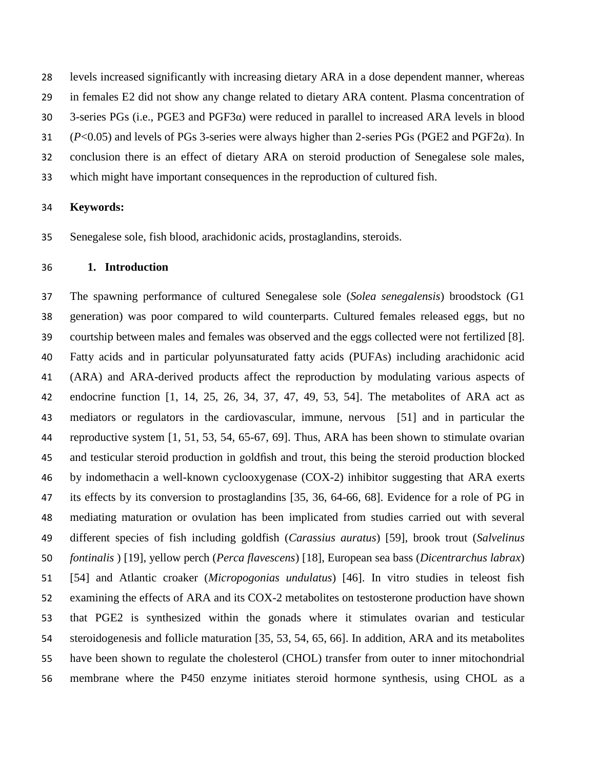levels increased significantly with increasing dietary ARA in a dose dependent manner, whereas in females E2 did not show any change related to dietary ARA content. Plasma concentration of 3-series PGs (i.e., PGE3 and PGF3α) were reduced in parallel to increased ARA levels in blood (*P*<0.05) and levels of PGs 3-series were always higher than 2-series PGs (PGE2 and PGF2α). In conclusion there is an effect of dietary ARA on steroid production of Senegalese sole males, which might have important consequences in the reproduction of cultured fish.

### **Keywords:**

Senegalese sole, fish blood, arachidonic acids, prostaglandins, steroids.

## **1. Introduction**

 The spawning performance of cultured Senegalese sole (*Solea senegalensis*) broodstock (G1 generation) was poor compared to wild counterparts. Cultured females released eggs, but no courtship between males and females was observed and the eggs collected were not fertilized [8]. Fatty acids and in particular polyunsaturated fatty acids (PUFAs) including arachidonic acid (ARA) and ARA-derived products affect the reproduction by modulating various aspects of endocrine function [1, 14, 25, 26, 34, 37, 47, 49, 53, 54]. The metabolites of ARA act as mediators or regulators in the cardiovascular, immune, nervous [51] and in particular the reproductive system [1, 51, 53, 54, 65-67, 69]. Thus, ARA has been shown to stimulate ovarian and testicular steroid production in goldfish and trout, this being the steroid production blocked by indomethacin a well-known cyclooxygenase (COX-2) inhibitor suggesting that ARA exerts its effects by its conversion to prostaglandins [35, 36, 64-66, 68]. Evidence for a role of PG in mediating maturation or ovulation has been implicated from studies carried out with several different species of fish including goldfish (*Carassius auratus*) [59], brook trout (*Salvelinus fontinalis* ) [19], yellow perch (*Perca flavescens*) [18], European sea bass (*Dicentrarchus labrax*) [54] and Atlantic croaker (*Micropogonias undulatus*) [46]. In vitro studies in teleost fish examining the effects of ARA and its COX-2 metabolites on testosterone production have shown that PGE2 is synthesized within the gonads where it stimulates ovarian and testicular steroidogenesis and follicle maturation [35, 53, 54, 65, 66]. In addition, ARA and its metabolites have been shown to regulate the cholesterol (CHOL) transfer from outer to inner mitochondrial membrane where the P450 enzyme initiates steroid hormone synthesis, using CHOL as a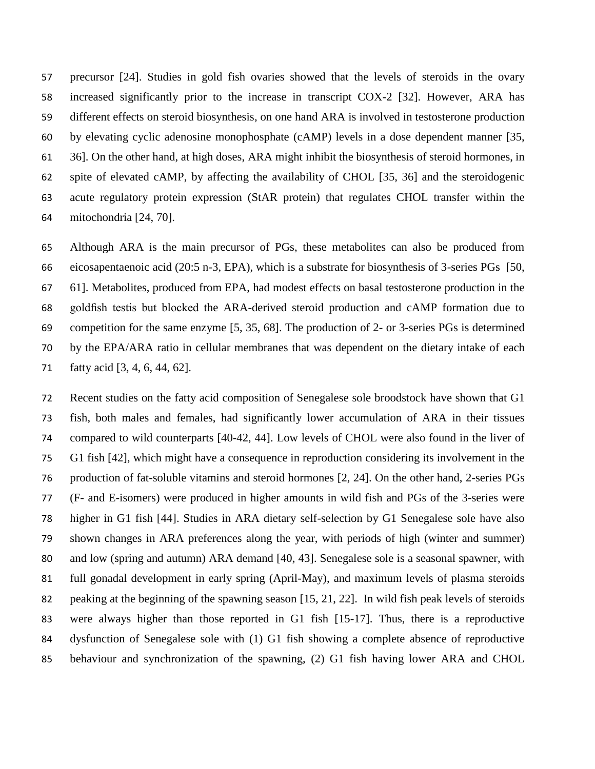precursor [24]. Studies in gold fish ovaries showed that the levels of steroids in the ovary increased significantly prior to the increase in transcript COX-2 [32]. However, ARA has different effects on steroid biosynthesis, on one hand ARA is involved in testosterone production by elevating cyclic adenosine monophosphate (cAMP) levels in a dose dependent manner [35, 36]. On the other hand, at high doses, ARA might inhibit the biosynthesis of steroid hormones, in spite of elevated cAMP, by affecting the availability of CHOL [35, 36] and the steroidogenic acute regulatory protein expression (StAR protein) that regulates CHOL transfer within the mitochondria [24, 70].

 Although ARA is the main precursor of PGs, these metabolites can also be produced from eicosapentaenoic acid (20:5 n-3, EPA), which is a substrate for biosynthesis of 3-series PGs [50, 61]. Metabolites, produced from EPA, had modest effects on basal testosterone production in the goldfish testis but blocked the ARA-derived steroid production and cAMP formation due to competition for the same enzyme [5, 35, 68]. The production of 2- or 3-series PGs is determined by the EPA/ARA ratio in cellular membranes that was dependent on the dietary intake of each fatty acid [3, 4, 6, 44, 62].

 Recent studies on the fatty acid composition of Senegalese sole broodstock have shown that G1 fish, both males and females, had significantly lower accumulation of ARA in their tissues compared to wild counterparts [40-42, 44]. Low levels of CHOL were also found in the liver of G1 fish [42], which might have a consequence in reproduction considering its involvement in the production of fat-soluble vitamins and steroid hormones [2, 24]. On the other hand, 2-series PGs (F- and E-isomers) were produced in higher amounts in wild fish and PGs of the 3-series were higher in G1 fish [44]. Studies in ARA dietary self-selection by G1 Senegalese sole have also shown changes in ARA preferences along the year, with periods of high (winter and summer) and low (spring and autumn) ARA demand [40, 43]. Senegalese sole is a seasonal spawner, with full gonadal development in early spring (April-May), and maximum levels of plasma steroids peaking at the beginning of the spawning season [15, 21, 22]. In wild fish peak levels of steroids were always higher than those reported in G1 fish [15-17]. Thus, there is a reproductive dysfunction of Senegalese sole with (1) G1 fish showing a complete absence of reproductive behaviour and synchronization of the spawning, (2) G1 fish having lower ARA and CHOL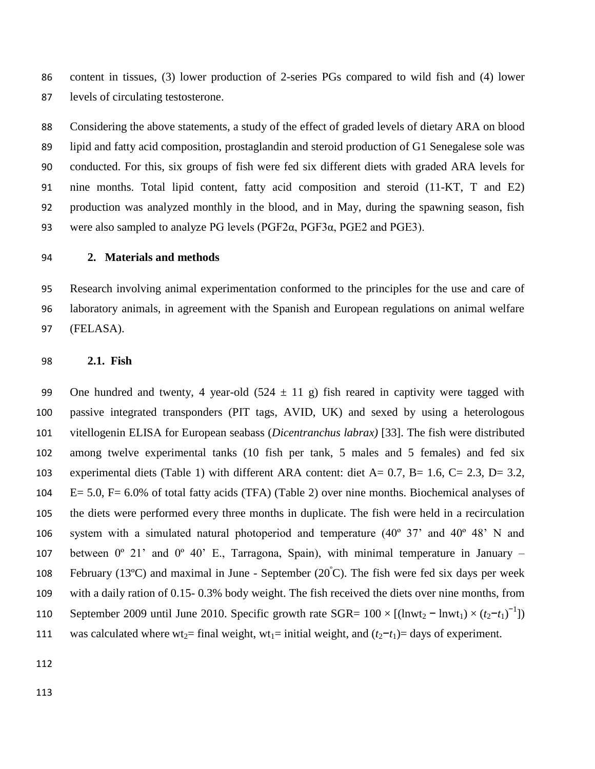content in tissues, (3) lower production of 2-series PGs compared to wild fish and (4) lower levels of circulating testosterone.

 Considering the above statements, a study of the effect of graded levels of dietary ARA on blood lipid and fatty acid composition, prostaglandin and steroid production of G1 Senegalese sole was conducted. For this, six groups of fish were fed six different diets with graded ARA levels for nine months. Total lipid content, fatty acid composition and steroid (11-KT, T and E2) production was analyzed monthly in the blood, and in May, during the spawning season, fish were also sampled to analyze PG levels (PGF2α, PGF3α, PGE2 and PGE3).

## **2. Materials and methods**

 Research involving animal experimentation conformed to the principles for the use and care of laboratory animals, in agreement with the Spanish and European regulations on animal welfare (FELASA).

**2.1. Fish** 

99 One hundred and twenty, 4 year-old  $(524 \pm 11 \text{ g})$  fish reared in captivity were tagged with passive integrated transponders (PIT tags, AVID, UK) and sexed by using a heterologous vitellogenin ELISA for European seabass (*Dicentranchus labrax)* [33]. The fish were distributed among twelve experimental tanks (10 fish per tank, 5 males and 5 females) and fed six experimental diets (Table 1) with different ARA content: diet A= 0.7, B= 1.6, C= 2.3, D= 3.2, E= 5.0, F= 6.0% of total fatty acids (TFA) (Table 2) over nine months. Biochemical analyses of the diets were performed every three months in duplicate. The fish were held in a recirculation system with a simulated natural photoperiod and temperature (40º 37' and 40º 48' N and 107 between  $0^{\circ}$  21' and  $0^{\circ}$  40' E., Tarragona, Spain), with minimal temperature in January – 108 February (13°C) and maximal in June - September (20 $\degree$ C). The fish were fed six days per week with a daily ration of 0.15- 0.3% body weight. The fish received the diets over nine months, from 110 September 2009 until June 2010. Specific growth rate SGR=  $100 \times [(lnwt_2 - lnwt_1) \times (t_2 - t_1)^{-1}]$ 111 was calculated where wt<sub>2</sub>= final weight, wt<sub>1</sub>= initial weight, and  $(t_2-t_1)$ = days of experiment.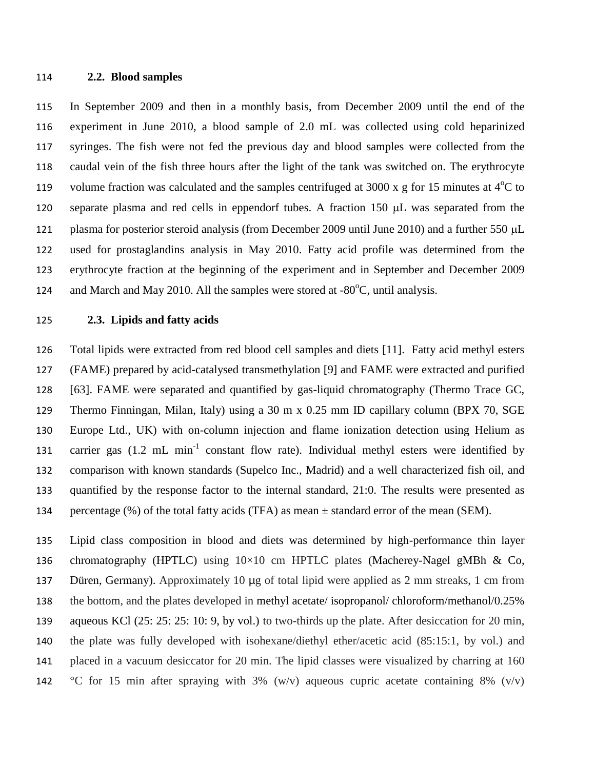#### **2.2. Blood samples**

 In September 2009 and then in a monthly basis, from December 2009 until the end of the experiment in June 2010, a blood sample of 2.0 mL was collected using cold heparinized syringes. The fish were not fed the previous day and blood samples were collected from the caudal vein of the fish three hours after the light of the tank was switched on. The erythrocyte 119 volume fraction was calculated and the samples centrifuged at 3000 x g for 15 minutes at  $4^{\circ}$ C to 120 separate plasma and red cells in eppendorf tubes. A fraction  $150 \mu L$  was separated from the 121 plasma for posterior steroid analysis (from December 2009 until June 2010) and a further 550 µL used for prostaglandins analysis in May 2010. Fatty acid profile was determined from the erythrocyte fraction at the beginning of the experiment and in September and December 2009 124 and March and May 2010. All the samples were stored at  $-80^{\circ}$ C, until analysis.

# **2.3. Lipids and fatty acids**

 Total lipids were extracted from red blood cell samples and diets [11]. Fatty acid methyl esters (FAME) prepared by acid-catalysed transmethylation [9] and FAME were extracted and purified [63]. FAME were separated and quantified by gas-liquid chromatography (Thermo Trace GC, Thermo Finningan, Milan, Italy) using a 30 m x 0.25 mm ID capillary column (BPX 70, SGE Europe Ltd., UK) with on-column injection and flame ionization detection using Helium as 131 carrier gas  $(1.2 \text{ mL min}^{-1}$  constant flow rate). Individual methyl esters were identified by comparison with known standards (Supelco Inc., Madrid) and a well characterized fish oil, and quantified by the response factor to the internal standard, 21:0. The results were presented as 134 percentage  $(\%)$  of the total fatty acids (TFA) as mean  $\pm$  standard error of the mean (SEM).

 Lipid class composition in blood and diets was determined by high-performance thin layer 136 chromatography (HPTLC) using  $10\times10$  cm HPTLC plates (Macherey-Nagel gMBh & Co, Düren, Germany). Approximately 10 μg of total lipid were applied as 2 mm streaks, 1 cm from the bottom, and the plates developed in methyl acetate/ isopropanol/ chloroform/methanol/0.25% aqueous KCl (25: 25: 25: 10: 9, by vol.) to two-thirds up the plate. After desiccation for 20 min, the plate was fully developed with isohexane/diethyl ether/acetic acid (85:15:1, by vol.) and placed in a vacuum desiccator for 20 min. The lipid classes were visualized by charring at 160 142 °C for 15 min after spraying with 3% (w/v) aqueous cupric acetate containing 8% (v/v)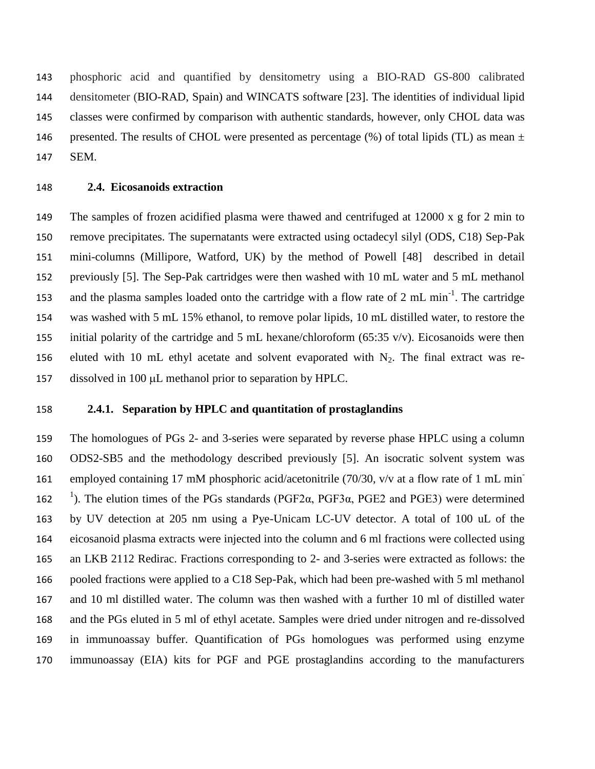phosphoric acid and quantified by densitometry using a BIO-RAD GS-800 calibrated densitometer (BIO-RAD, Spain) and WINCATS software [23]. The identities of individual lipid classes were confirmed by comparison with authentic standards, however, only CHOL data was 146 presented. The results of CHOL were presented as percentage  $(\%)$  of total lipids (TL) as mean  $\pm$ SEM.

### **2.4. Eicosanoids extraction**

 The samples of frozen acidified plasma were thawed and centrifuged at 12000 x g for 2 min to remove precipitates. The supernatants were extracted using octadecyl silyl (ODS, C18) Sep-Pak mini-columns (Millipore, Watford, UK) by the method of Powell [48] described in detail previously [5]. The Sep-Pak cartridges were then washed with 10 mL water and 5 mL methanol 153 and the plasma samples loaded onto the cartridge with a flow rate of  $2 \text{ mL min}^{-1}$ . The cartridge was washed with 5 mL 15% ethanol, to remove polar lipids, 10 mL distilled water, to restore the 155 initial polarity of the cartridge and 5 mL hexane/chloroform (65:35 v/v). Eicosanoids were then 156 eluted with 10 mL ethyl acetate and solvent evaporated with  $N_2$ . The final extract was re-157 dissolved in 100  $\mu$ L methanol prior to separation by HPLC.

## **2.4.1. Separation by HPLC and quantitation of prostaglandins**

 The homologues of PGs 2- and 3-series were separated by reverse phase HPLC using a column ODS2-SB5 and the methodology described previously [5]. An isocratic solvent system was employed containing 17 mM phosphoric acid/acetonitrile (70/30, v/v at a flow rate of 1 mL min- 162 <sup>1</sup>). The elution times of the PGs standards (PGF2α, PGF3α, PGE2 and PGE3) were determined by UV detection at 205 nm using a Pye-Unicam LC-UV detector. A total of 100 uL of the eicosanoid plasma extracts were injected into the column and 6 ml fractions were collected using an LKB 2112 Redirac. Fractions corresponding to 2- and 3-series were extracted as follows: the pooled fractions were applied to a C18 Sep-Pak, which had been pre-washed with 5 ml methanol and 10 ml distilled water. The column was then washed with a further 10 ml of distilled water and the PGs eluted in 5 ml of ethyl acetate. Samples were dried under nitrogen and re-dissolved in immunoassay buffer. Quantification of PGs homologues was performed using enzyme immunoassay (EIA) kits for PGF and PGE prostaglandins according to the manufacturers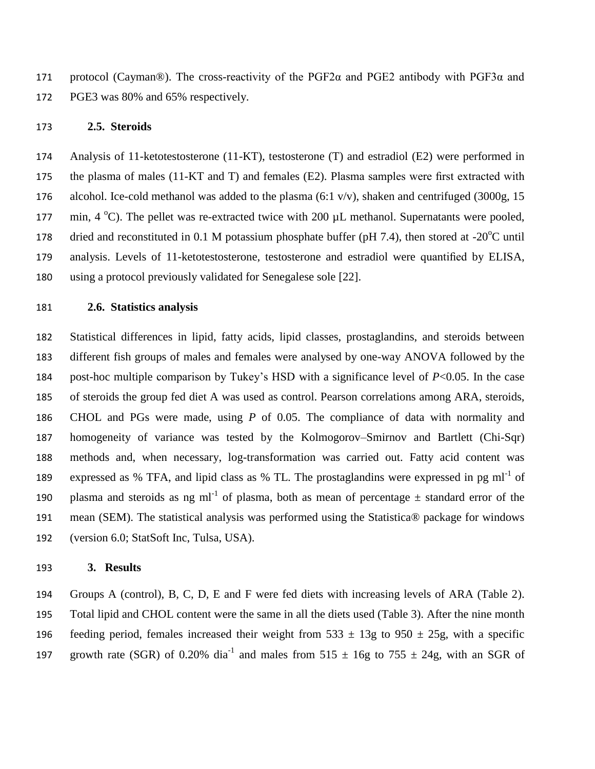171 protocol (Cayman®). The cross-reactivity of the PGF2 $\alpha$  and PGE2 antibody with PGF3 $\alpha$  and PGE3 was 80% and 65% respectively.

#### **2.5. Steroids**

 Analysis of 11-ketotestosterone (11-KT), testosterone (T) and estradiol (E2) were performed in the plasma of males (11-KT and T) and females (E2). Plasma samples were first extracted with 176 alcohol. Ice-cold methanol was added to the plasma  $(6:1 \text{ v/v})$ , shaken and centrifuged  $(3000g, 15$ 177 min,  $4 °C$ ). The pellet was re-extracted twice with 200  $\mu$ L methanol. Supernatants were pooled, 178 dried and reconstituted in 0.1 M potassium phosphate buffer (pH 7.4), then stored at -20 $^{\circ}$ C until analysis. Levels of 11-ketotestosterone, testosterone and estradiol were quantified by ELISA, using a protocol previously validated for Senegalese sole [22].

## **2.6. Statistics analysis**

 Statistical differences in lipid, fatty acids, lipid classes, prostaglandins, and steroids between different fish groups of males and females were analysed by one-way ANOVA followed by the post-hoc multiple comparison by Tukey's HSD with a significance level of *P*<0.05. In the case of steroids the group fed diet A was used as control. Pearson correlations among ARA, steroids, CHOL and PGs were made, using *P* of 0.05. The compliance of data with normality and homogeneity of variance was tested by the Kolmogorov–Smirnov and Bartlett (Chi-Sqr) methods and, when necessary, log-transformation was carried out. Fatty acid content was 189 expressed as % TFA, and lipid class as % TL. The prostaglandins were expressed in pg ml<sup>-1</sup> of 190 plasma and steroids as ng ml<sup>-1</sup> of plasma, both as mean of percentage  $\pm$  standard error of the mean (SEM). The statistical analysis was performed using the Statistica® package for windows (version 6.0; StatSoft Inc, Tulsa, USA).

### **3. Results**

 Groups A (control), B, C, D, E and F were fed diets with increasing levels of ARA (Table 2). Total lipid and CHOL content were the same in all the diets used (Table 3). After the nine month 196 feeding period, females increased their weight from  $533 \pm 13$ g to  $950 \pm 25$ g, with a specific 197 growth rate (SGR) of 0.20% dia<sup>-1</sup> and males from 515  $\pm$  16g to 755  $\pm$  24g, with an SGR of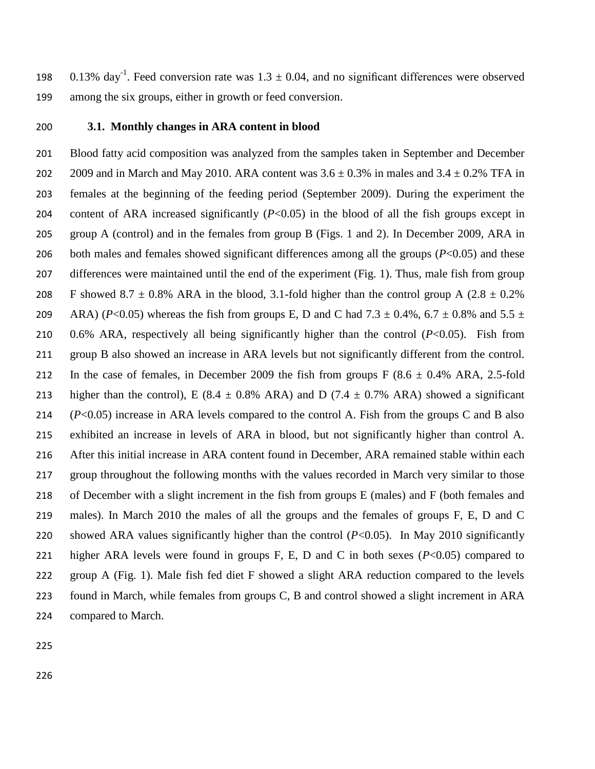198 0.13% day<sup>-1</sup>. Feed conversion rate was  $1.3 \pm 0.04$ , and no significant differences were observed among the six groups, either in growth or feed conversion.

## **3.1. Monthly changes in ARA content in blood**

 Blood fatty acid composition was analyzed from the samples taken in September and December 202 2009 and in March and May 2010. ARA content was  $3.6 \pm 0.3\%$  in males and  $3.4 \pm 0.2\%$  TFA in females at the beginning of the feeding period (September 2009). During the experiment the content of ARA increased significantly (*P*<0.05) in the blood of all the fish groups except in group A (control) and in the females from group B (Figs. 1 and 2). In December 2009, ARA in 206 both males and females showed significant differences among all the groups (*P*<0.05) and these differences were maintained until the end of the experiment (Fig. 1). Thus, male fish from group 208 F showed 8.7  $\pm$  0.8% ARA in the blood, 3.1-fold higher than the control group A (2.8  $\pm$  0.2% 209 ARA) (*P*<0.05) whereas the fish from groups E, D and C had  $7.3 \pm 0.4\%$ ,  $6.7 \pm 0.8\%$  and  $5.5 \pm 0.5\%$  0.6% ARA, respectively all being significantly higher than the control (*P*<0.05). Fish from group B also showed an increase in ARA levels but not significantly different from the control. 212 In the case of females, in December 2009 the fish from groups  $F(8.6 \pm 0.4\% \text{ ARA}, 2.5 \text{-fold})$ 213 higher than the control), E (8.4  $\pm$  0.8% ARA) and D (7.4  $\pm$  0.7% ARA) showed a significant (*P*<0.05) increase in ARA levels compared to the control A. Fish from the groups C and B also exhibited an increase in levels of ARA in blood, but not significantly higher than control A. After this initial increase in ARA content found in December, ARA remained stable within each group throughout the following months with the values recorded in March very similar to those of December with a slight increment in the fish from groups E (males) and F (both females and males). In March 2010 the males of all the groups and the females of groups F, E, D and C showed ARA values significantly higher than the control (*P*<0.05). In May 2010 significantly higher ARA levels were found in groups F, E, D and C in both sexes (*P*<0.05) compared to group A (Fig. 1). Male fish fed diet F showed a slight ARA reduction compared to the levels found in March, while females from groups C, B and control showed a slight increment in ARA compared to March.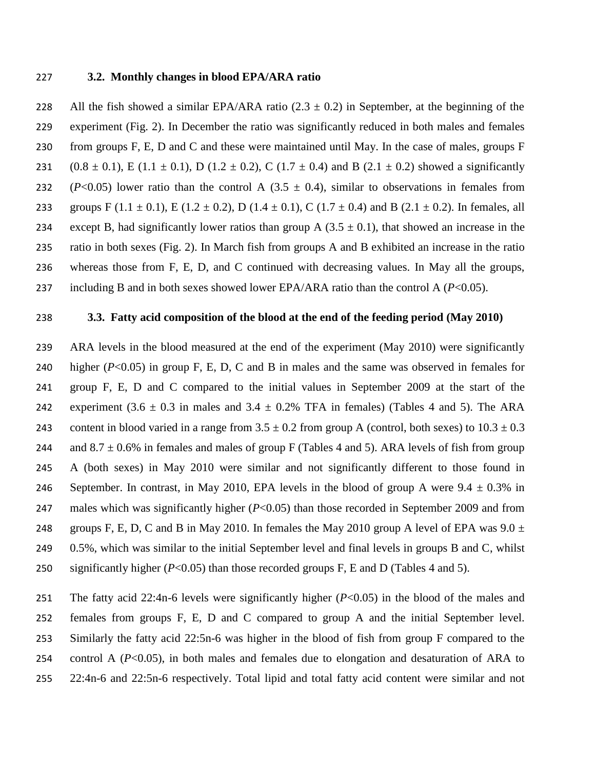#### 227 **3.2. Monthly changes in blood EPA/ARA ratio**

228 All the fish showed a similar EPA/ARA ratio  $(2.3 \pm 0.2)$  in September, at the beginning of the 229 experiment (Fig. 2). In December the ratio was significantly reduced in both males and females 230 from groups F, E, D and C and these were maintained until May. In the case of males, groups F 231 (0.8  $\pm$  0.1), E (1.1  $\pm$  0.1), D (1.2  $\pm$  0.2), C (1.7  $\pm$  0.4) and B (2.1  $\pm$  0.2) showed a significantly 232 (*P*<0.05) lower ratio than the control A (3.5  $\pm$  0.4), similar to observations in females from 233 groups F (1.1  $\pm$  0.1), E (1.2  $\pm$  0.2), D (1.4  $\pm$  0.1), C (1.7  $\pm$  0.4) and B (2.1  $\pm$  0.2). In females, all 234 except B, had significantly lower ratios than group A  $(3.5 \pm 0.1)$ , that showed an increase in the 235 ratio in both sexes (Fig. 2). In March fish from groups A and B exhibited an increase in the ratio 236 whereas those from F, E, D, and C continued with decreasing values. In May all the groups, 237 including B and in both sexes showed lower EPA/ARA ratio than the control A (*P*<0.05).

## 238 **3.3. Fatty acid composition of the blood at the end of the feeding period (May 2010)**

239 ARA levels in the blood measured at the end of the experiment (May 2010) were significantly 240 higher (*P*<0.05) in group F, E, D, C and B in males and the same was observed in females for 241 group F, E, D and C compared to the initial values in September 2009 at the start of the 242 experiment  $(3.6 \pm 0.3 \text{ in males and } 3.4 \pm 0.2\% \text{ TFA in females})$  (Tables 4 and 5). The ARA 243 content in blood varied in a range from  $3.5 \pm 0.2$  from group A (control, both sexes) to  $10.3 \pm 0.3$ 244 and  $8.7 \pm 0.6\%$  in females and males of group F (Tables 4 and 5). ARA levels of fish from group 245 A (both sexes) in May 2010 were similar and not significantly different to those found in 246 September. In contrast, in May 2010, EPA levels in the blood of group A were  $9.4 \pm 0.3\%$  in 247 males which was significantly higher (*P*<0.05) than those recorded in September 2009 and from 248 groups F, E, D, C and B in May 2010. In females the May 2010 group A level of EPA was  $9.0 \pm 1$ 249 0.5%, which was similar to the initial September level and final levels in groups B and C, whilst 250 significantly higher (*P*<0.05) than those recorded groups F, E and D (Tables 4 and 5).

 The fatty acid 22:4n-6 levels were significantly higher (*P*<0.05) in the blood of the males and females from groups F, E, D and C compared to group A and the initial September level. Similarly the fatty acid 22:5n-6 was higher in the blood of fish from group F compared to the 254 control A  $(P<0.05)$ , in both males and females due to elongation and desaturation of ARA to 22:4n-6 and 22:5n-6 respectively. Total lipid and total fatty acid content were similar and not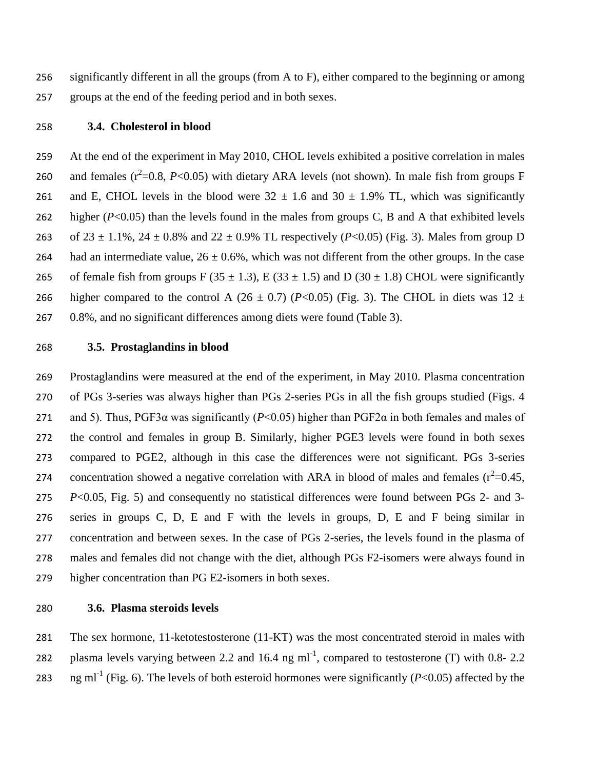significantly different in all the groups (from A to F), either compared to the beginning or among groups at the end of the feeding period and in both sexes.

#### **3.4. Cholesterol in blood**

 At the end of the experiment in May 2010, CHOL levels exhibited a positive correlation in males 260 and females  $(r^2=0.8, P<0.05)$  with dietary ARA levels (not shown). In male fish from groups F 261 and E, CHOL levels in the blood were  $32 \pm 1.6$  and  $30 \pm 1.9\%$  TL, which was significantly 262 higher  $(P<0.05)$  than the levels found in the males from groups C, B and A that exhibited levels 263 of  $23 \pm 1.1\%$ ,  $24 \pm 0.8\%$  and  $22 \pm 0.9\%$  TL respectively (*P*<0.05) (Fig. 3). Males from group D 264 had an intermediate value,  $26 \pm 0.6$ %, which was not different from the other groups. In the case 265 of female fish from groups F (35  $\pm$  1.3), E (33  $\pm$  1.5) and D (30  $\pm$  1.8) CHOL were significantly 266 higher compared to the control A  $(26 \pm 0.7)$   $(P<0.05)$  (Fig. 3). The CHOL in diets was 12  $\pm$ 0.8%, and no significant differences among diets were found (Table 3).

## **3.5. Prostaglandins in blood**

 Prostaglandins were measured at the end of the experiment, in May 2010. Plasma concentration of PGs 3-series was always higher than PGs 2-series PGs in all the fish groups studied (Figs. 4 271 and 5). Thus, PGF3 $\alpha$  was significantly ( $P < 0.05$ ) higher than PGF2 $\alpha$  in both females and males of the control and females in group B. Similarly, higher PGE3 levels were found in both sexes compared to PGE2, although in this case the differences were not significant. PGs 3-series 274 concentration showed a negative correlation with ARA in blood of males and females  $(r^2=0.45,$  *P*<0.05, Fig. 5) and consequently no statistical differences were found between PGs 2- and 3- series in groups C, D, E and F with the levels in groups, D, E and F being similar in concentration and between sexes. In the case of PGs 2-series, the levels found in the plasma of males and females did not change with the diet, although PGs F2-isomers were always found in higher concentration than PG E2-isomers in both sexes.

#### **3.6. Plasma steroids levels**

 The sex hormone, 11-ketotestosterone (11-KT) was the most concentrated steroid in males with 282 plasma levels varying between 2.2 and 16.4 ng ml<sup>-1</sup>, compared to testosterone (T) with 0.8-2.2 283  $\text{ng ml}^{-1}$  (Fig. 6). The levels of both esteroid hormones were significantly (*P*<0.05) affected by the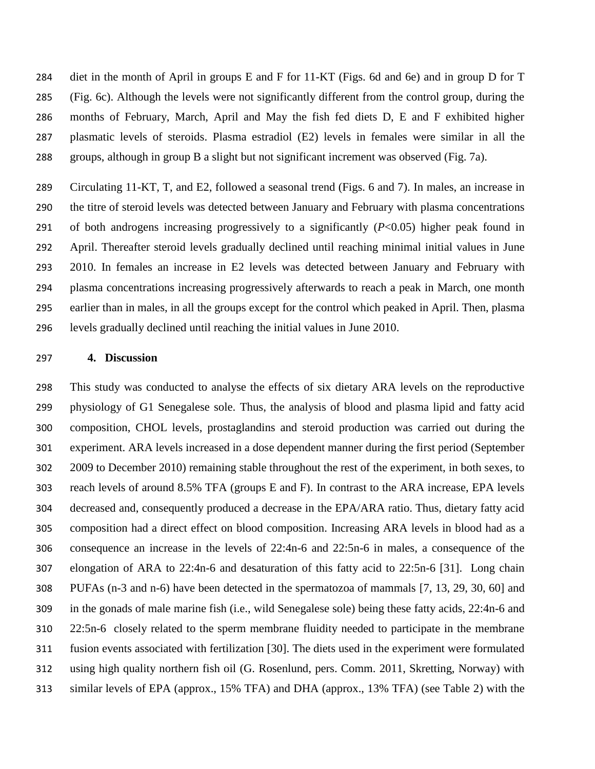diet in the month of April in groups E and F for 11-KT (Figs. 6d and 6e) and in group D for T (Fig. 6c). Although the levels were not significantly different from the control group, during the months of February, March, April and May the fish fed diets D, E and F exhibited higher plasmatic levels of steroids. Plasma estradiol (E2) levels in females were similar in all the groups, although in group B a slight but not significant increment was observed (Fig. 7a).

 Circulating 11-KT, T, and E2, followed a seasonal trend (Figs. 6 and 7). In males, an increase in the titre of steroid levels was detected between January and February with plasma concentrations of both androgens increasing progressively to a significantly (*P*<0.05) higher peak found in April. Thereafter steroid levels gradually declined until reaching minimal initial values in June 2010. In females an increase in E2 levels was detected between January and February with plasma concentrations increasing progressively afterwards to reach a peak in March, one month earlier than in males, in all the groups except for the control which peaked in April. Then, plasma levels gradually declined until reaching the initial values in June 2010.

## **4. Discussion**

 This study was conducted to analyse the effects of six dietary ARA levels on the reproductive physiology of G1 Senegalese sole. Thus, the analysis of blood and plasma lipid and fatty acid composition, CHOL levels, prostaglandins and steroid production was carried out during the experiment. ARA levels increased in a dose dependent manner during the first period (September 2009 to December 2010) remaining stable throughout the rest of the experiment, in both sexes, to reach levels of around 8.5% TFA (groups E and F). In contrast to the ARA increase, EPA levels decreased and, consequently produced a decrease in the EPA/ARA ratio. Thus, dietary fatty acid composition had a direct effect on blood composition. Increasing ARA levels in blood had as a consequence an increase in the levels of 22:4n-6 and 22:5n-6 in males, a consequence of the elongation of ARA to 22:4n-6 and desaturation of this fatty acid to 22:5n-6 [31]. Long chain PUFAs (n-3 and n-6) have been detected in the spermatozoa of mammals [7, 13, 29, 30, 60] and in the gonads of male marine fish (i.e., wild Senegalese sole) being these fatty acids, 22:4n-6 and 22:5n-6 closely related to the sperm membrane fluidity needed to participate in the membrane fusion events associated with fertilization [30]. The diets used in the experiment were formulated using high quality northern fish oil (G. Rosenlund, pers. Comm. 2011, Skretting, Norway) with similar levels of EPA (approx., 15% TFA) and DHA (approx., 13% TFA) (see Table 2) with the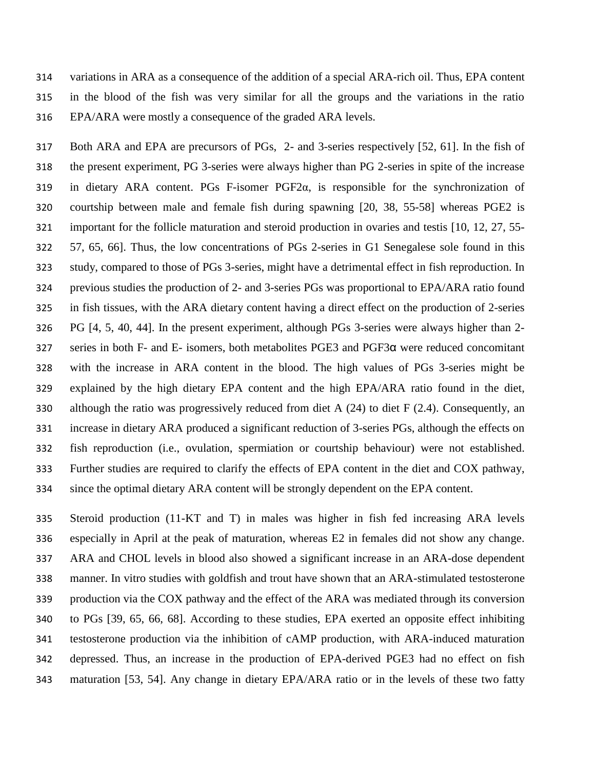variations in ARA as a consequence of the addition of a special ARA-rich oil. Thus, EPA content in the blood of the fish was very similar for all the groups and the variations in the ratio EPA/ARA were mostly a consequence of the graded ARA levels.

 Both ARA and EPA are precursors of PGs, 2- and 3-series respectively [52, 61]. In the fish of the present experiment, PG 3-series were always higher than PG 2-series in spite of the increase in dietary ARA content. PGs F-isomer PGF2α, is responsible for the synchronization of courtship between male and female fish during spawning [20, 38, 55-58] whereas PGE2 is important for the follicle maturation and steroid production in ovaries and testis [10, 12, 27, 55- 57, 65, 66]. Thus, the low concentrations of PGs 2-series in G1 Senegalese sole found in this study, compared to those of PGs 3-series, might have a detrimental effect in fish reproduction. In previous studies the production of 2- and 3-series PGs was proportional to EPA/ARA ratio found in fish tissues, with the ARA dietary content having a direct effect on the production of 2-series PG [4, 5, 40, 44]. In the present experiment, although PGs 3-series were always higher than 2- series in both F- and E- isomers, both metabolites PGE3 and PGF3α were reduced concomitant with the increase in ARA content in the blood. The high values of PGs 3-series might be explained by the high dietary EPA content and the high EPA/ARA ratio found in the diet, 330 although the ratio was progressively reduced from diet A  $(24)$  to diet F  $(2.4)$ . Consequently, an increase in dietary ARA produced a significant reduction of 3-series PGs, although the effects on fish reproduction (i.e., ovulation, spermiation or courtship behaviour) were not established. Further studies are required to clarify the effects of EPA content in the diet and COX pathway, since the optimal dietary ARA content will be strongly dependent on the EPA content.

 Steroid production (11-KT and T) in males was higher in fish fed increasing ARA levels especially in April at the peak of maturation, whereas E2 in females did not show any change. ARA and CHOL levels in blood also showed a significant increase in an ARA-dose dependent manner. In vitro studies with goldfish and trout have shown that an ARA-stimulated testosterone production via the COX pathway and the effect of the ARA was mediated through its conversion to PGs [39, 65, 66, 68]. According to these studies, EPA exerted an opposite effect inhibiting testosterone production via the inhibition of cAMP production, with ARA-induced maturation depressed. Thus, an increase in the production of EPA-derived PGE3 had no effect on fish maturation [53, 54]. Any change in dietary EPA/ARA ratio or in the levels of these two fatty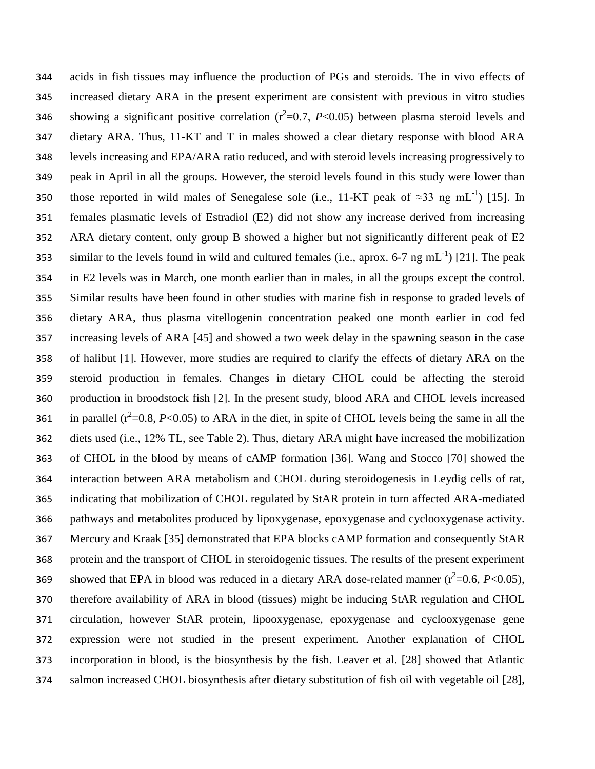acids in fish tissues may influence the production of PGs and steroids. The in vivo effects of increased dietary ARA in the present experiment are consistent with previous in vitro studies 346 showing a significant positive correlation  $(r^2=0.7, P<0.05)$  between plasma steroid levels and dietary ARA. Thus, 11-KT and T in males showed a clear dietary response with blood ARA levels increasing and EPA/ARA ratio reduced, and with steroid levels increasing progressively to peak in April in all the groups. However, the steroid levels found in this study were lower than 350 those reported in wild males of Senegalese sole (i.e., 11-KT peak of  $\approx$ 33 ng mL<sup>-1</sup>) [15]. In females plasmatic levels of Estradiol (E2) did not show any increase derived from increasing ARA dietary content, only group B showed a higher but not significantly different peak of E2 353 similar to the levels found in wild and cultured females (i.e., aprox. 6-7 ng mL<sup>-1</sup>) [21]. The peak in E2 levels was in March, one month earlier than in males, in all the groups except the control. Similar results have been found in other studies with marine fish in response to graded levels of dietary ARA, thus plasma vitellogenin concentration peaked one month earlier in cod fed increasing levels of ARA [45] and showed a two week delay in the spawning season in the case of halibut [1]. However, more studies are required to clarify the effects of dietary ARA on the steroid production in females. Changes in dietary CHOL could be affecting the steroid production in broodstock fish [2]. In the present study, blood ARA and CHOL levels increased 361 in parallel  $(r^2=0.8, P<0.05)$  to ARA in the diet, in spite of CHOL levels being the same in all the diets used (i.e., 12% TL, see Table 2). Thus, dietary ARA might have increased the mobilization of CHOL in the blood by means of cAMP formation [36]. Wang and Stocco [70] showed the interaction between ARA metabolism and CHOL during steroidogenesis in Leydig cells of rat, indicating that mobilization of CHOL regulated by StAR protein in turn affected ARA-mediated pathways and metabolites produced by lipoxygenase, epoxygenase and cyclooxygenase activity. Mercury and Kraak [35] demonstrated that EPA blocks cAMP formation and consequently StAR protein and the transport of CHOL in steroidogenic tissues. The results of the present experiment 369 showed that EPA in blood was reduced in a dietary ARA dose-related manner  $(r^2=0.6, P<0.05)$ , therefore availability of ARA in blood (tissues) might be inducing StAR regulation and CHOL circulation, however StAR protein, lipooxygenase, epoxygenase and cyclooxygenase gene expression were not studied in the present experiment. Another explanation of CHOL incorporation in blood, is the biosynthesis by the fish. Leaver et al. [28] showed that Atlantic salmon increased CHOL biosynthesis after dietary substitution of fish oil with vegetable oil [28],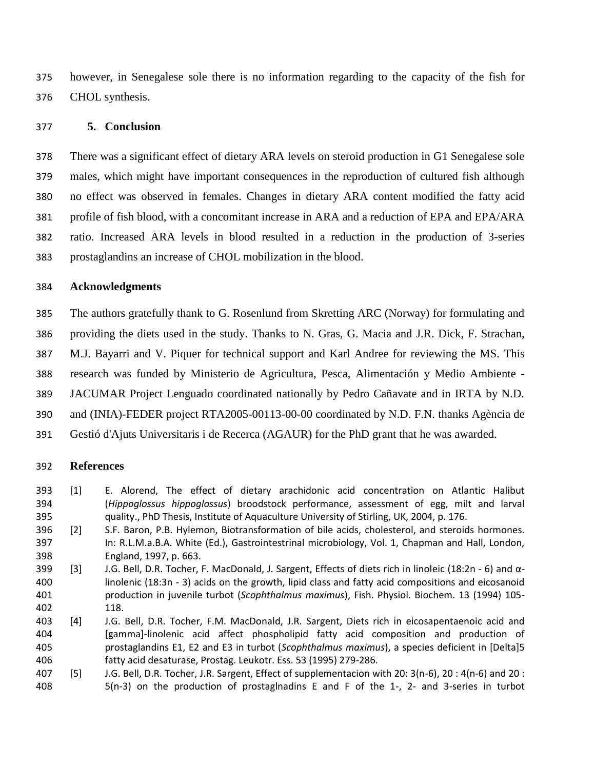however, in Senegalese sole there is no information regarding to the capacity of the fish for CHOL synthesis.

### **5. Conclusion**

 There was a significant effect of dietary ARA levels on steroid production in G1 Senegalese sole males, which might have important consequences in the reproduction of cultured fish although no effect was observed in females. Changes in dietary ARA content modified the fatty acid profile of fish blood, with a concomitant increase in ARA and a reduction of EPA and EPA/ARA ratio. Increased ARA levels in blood resulted in a reduction in the production of 3-series prostaglandins an increase of CHOL mobilization in the blood.

#### **Acknowledgments**

 The authors gratefully thank to G. Rosenlund from Skretting ARC (Norway) for formulating and providing the diets used in the study. Thanks to N. Gras, G. Macia and J.R. Dick, F. Strachan, M.J. Bayarri and V. Piquer for technical support and Karl Andree for reviewing the MS. This research was funded by Ministerio de Agricultura, Pesca, Alimentación y Medio Ambiente - JACUMAR Project Lenguado coordinated nationally by Pedro Cañavate and in IRTA by N.D. and (INIA)-FEDER project RTA2005-00113-00-00 coordinated by N.D. F.N. thanks Agència de Gestió d'Ajuts Universitaris i de Recerca (AGAUR) for the PhD grant that he was awarded.

#### **References**

- [1] E. Alorend, The effect of dietary arachidonic acid concentration on Atlantic Halibut (*Hippoglossus hippoglossus*) broodstock performance, assessment of egg, milt and larval quality., PhD Thesis, Institute of Aquaculture University of Stirling, UK, 2004, p. 176.
- [2] S.F. Baron, P.B. Hylemon, Biotransformation of bile acids, cholesterol, and steroids hormones. In: R.L.M.a.B.A. White (Ed.), Gastrointestrinal microbiology, Vol. 1, Chapman and Hall, London, England, 1997, p. 663.
- 399 [3] J.G. Bell, D.R. Tocher, F. MacDonald, J. Sargent, Effects of diets rich in linoleic (18:2n 6) and  $\alpha$ - linolenic (18:3n - 3) acids on the growth, lipid class and fatty acid compositions and eicosanoid production in juvenile turbot (*Scophthalmus maximus*), Fish. Physiol. Biochem. 13 (1994) 105- 118.
- [4] J.G. Bell, D.R. Tocher, F.M. MacDonald, J.R. Sargent, Diets rich in eicosapentaenoic acid and [gamma]-linolenic acid affect phospholipid fatty acid composition and production of prostaglandins E1, E2 and E3 in turbot (*Scophthalmus maximus*), a species deficient in [Delta]5 fatty acid desaturase, Prostag. Leukotr. Ess. 53 (1995) 279-286.
- [5] J.G. Bell, D.R. Tocher, J.R. Sargent, Effect of supplementacion with 20: 3(n-6), 20 : 4(n-6) and 20 : 5(n-3) on the production of prostaglnadins E and F of the 1-, 2- and 3-series in turbot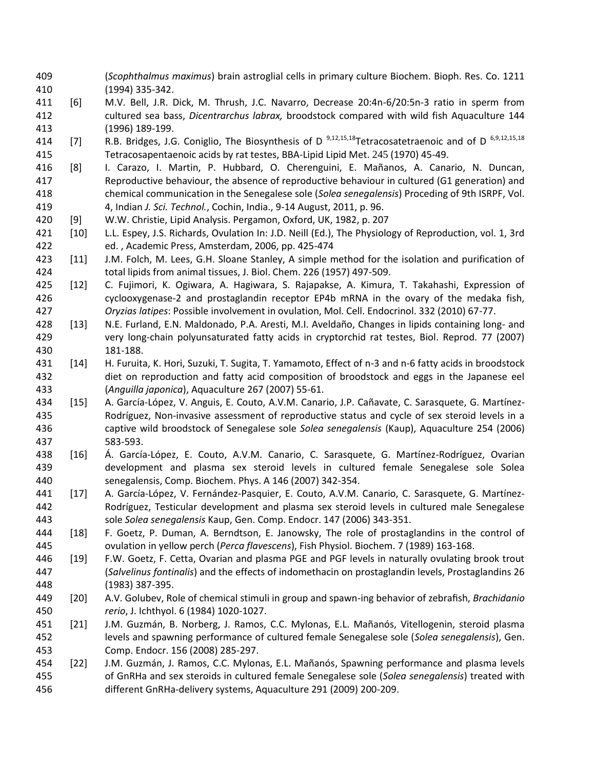- (*Scophthalmus maximus*) brain astroglial cells in primary culture Biochem. Bioph. Res. Co. 1211 (1994) 335-342.
- [6] M.V. Bell, J.R. Dick, M. Thrush, J.C. Navarro, Decrease 20:4n-6/20:5n-3 ratio in sperm from cultured sea bass, *Dicentrarchus labrax,* broodstock compared with wild fish Aquaculture 144 (1996) 189-199.
- 414 [7] R.B. Bridges, J.G. Coniglio, The Biosynthesis of D<sup>9,12,15,18</sup>Tetracosatetraenoic and of D<sup>6,9,12,15,18</sup> Tetracosapentaenoic acids by rat testes, BBA-Lipid Lipid Met. 245 (1970) 45-49.
- [8] I. Carazo, I. Martin, P. Hubbard, O. Cherenguini, E. Mañanos, A. Canario, N. Duncan, Reproductive behaviour, the absence of reproductive behaviour in cultured (G1 generation) and chemical communication in the Senegalese sole (*Solea senegalensis*) Proceding of 9th ISRPF, Vol. 4, Indian *J. Sci. Technol.*, Cochin, India., 9-14 August, 2011, p. 96.
- [9] W.W. Christie, Lipid Analysis. Pergamon, Oxford, UK, 1982, p. 207
- [10] L.L. Espey, J.S. Richards, Ovulation In: J.D. Neill (Ed.), The Physiology of Reproduction, vol. 1, 3rd ed. , Academic Press, Amsterdam, 2006, pp. 425-474
- [11] J.M. Folch, M. Lees, G.H. Sloane Stanley, A simple method for the isolation and purification of total lipids from animal tissues, J. Biol. Chem. 226 (1957) 497-509.
- [12] C. Fujimori, K. Ogiwara, A. Hagiwara, S. Rajapakse, A. Kimura, T. Takahashi, Expression of cyclooxygenase-2 and prostaglandin receptor EP4b mRNA in the ovary of the medaka fish, *Oryzias latipes*: Possible involvement in ovulation, Mol. Cell. Endocrinol. 332 (2010) 67-77.
- [13] N.E. Furland, E.N. Maldonado, P.A. Aresti, M.I. Aveldaño, Changes in lipids containing long- and very long-chain polyunsaturated fatty acids in cryptorchid rat testes, Biol. Reprod. 77 (2007) 181-188.
- [14] H. Furuita, K. Hori, Suzuki, T. Sugita, T. Yamamoto, Effect of n-3 and n-6 fatty acids in broodstock diet on reproduction and fatty acid composition of broodstock and eggs in the Japanese eel (*Anguilla japonica*), Aquaculture 267 (2007) 55-61.
- [15] A. García-López, V. Anguis, E. Couto, A.V.M. Canario, J.P. Cañavate, C. Sarasquete, G. Martínez- Rodríguez, Non-invasive assessment of reproductive status and cycle of sex steroid levels in a captive wild broodstock of Senegalese sole *Solea senegalensis* (Kaup), Aquaculture 254 (2006) 583-593.
- [16] Á. García-López, E. Couto, A.V.M. Canario, C. Sarasquete, G. Martínez-Rodríguez, Ovarian development and plasma sex steroid levels in cultured female Senegalese sole Solea senegalensis, Comp. Biochem. Phys. A 146 (2007) 342-354.
- [17] A. García-López, V. Fernández-Pasquier, E. Couto, A.V.M. Canario, C. Sarasquete, G. Martínez- Rodríguez, Testicular development and plasma sex steroid levels in cultured male Senegalese sole *Solea senegalensis* Kaup, Gen. Comp. Endocr. 147 (2006) 343-351.
- [18] F. Goetz, P. Duman, A. Berndtson, E. Janowsky, The role of prostaglandins in the control of ovulation in yellow perch (*Perca flavescens*), Fish Physiol. Biochem. 7 (1989) 163-168.
- [19] F.W. Goetz, F. Cetta, Ovarian and plasma PGE and PGF levels in naturally ovulating brook trout (*Salvelinus fontinalis*) and the effects of indomethacin on prostaglandin levels, Prostaglandins 26 (1983) 387-395.
- [20] A.V. Golubev, Role of chemical stimuli in group and spawn-ing behavior of zebrafish, *Brachidanio rerio*, J. Ichthyol. 6 (1984) 1020-1027.
- [21] J.M. Guzmán, B. Norberg, J. Ramos, C.C. Mylonas, E.L. Mañanós, Vitellogenin, steroid plasma levels and spawning performance of cultured female Senegalese sole (*Solea senegalensis*), Gen. Comp. Endocr. 156 (2008) 285-297.
- [22] J.M. Guzmán, J. Ramos, C.C. Mylonas, E.L. Mañanós, Spawning performance and plasma levels of GnRHa and sex steroids in cultured female Senegalese sole (*Solea senegalensis*) treated with different GnRHa-delivery systems, Aquaculture 291 (2009) 200-209.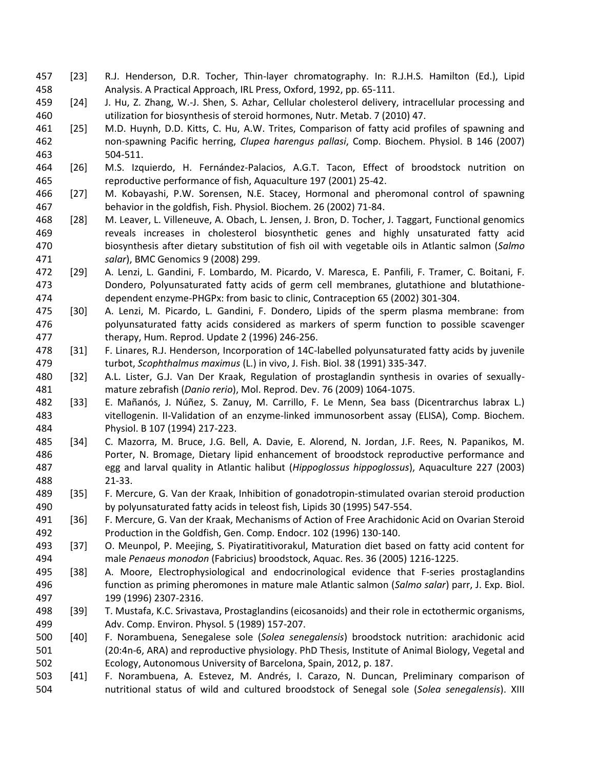- [23] R.J. Henderson, D.R. Tocher, Thin-layer chromatography. In: R.J.H.S. Hamilton (Ed.), Lipid Analysis. A Practical Approach, IRL Press, Oxford, 1992, pp. 65-111.
- [24] J. Hu, Z. Zhang, W.-J. Shen, S. Azhar, Cellular cholesterol delivery, intracellular processing and utilization for biosynthesis of steroid hormones, Nutr. Metab. 7 (2010) 47.
- [25] M.D. Huynh, D.D. Kitts, C. Hu, A.W. Trites, Comparison of fatty acid profiles of spawning and non-spawning Pacific herring, *Clupea harengus pallasi*, Comp. Biochem. Physiol. B 146 (2007) 504-511.
- [26] M.S. Izquierdo, H. Fernández-Palacios, A.G.T. Tacon, Effect of broodstock nutrition on reproductive performance of fish, Aquaculture 197 (2001) 25-42.
- [27] M. Kobayashi, P.W. Sorensen, N.E. Stacey, Hormonal and pheromonal control of spawning behavior in the goldfish, Fish. Physiol. Biochem. 26 (2002) 71-84.
- [28] M. Leaver, L. Villeneuve, A. Obach, L. Jensen, J. Bron, D. Tocher, J. Taggart, Functional genomics reveals increases in cholesterol biosynthetic genes and highly unsaturated fatty acid biosynthesis after dietary substitution of fish oil with vegetable oils in Atlantic salmon (*Salmo salar*), BMC Genomics 9 (2008) 299.
- [29] A. Lenzi, L. Gandini, F. Lombardo, M. Picardo, V. Maresca, E. Panfili, F. Tramer, C. Boitani, F. Dondero, Polyunsaturated fatty acids of germ cell membranes, glutathione and blutathione-dependent enzyme-PHGPx: from basic to clinic, Contraception 65 (2002) 301-304.
- [30] A. Lenzi, M. Picardo, L. Gandini, F. Dondero, Lipids of the sperm plasma membrane: from polyunsaturated fatty acids considered as markers of sperm function to possible scavenger therapy, Hum. Reprod. Update 2 (1996) 246-256.
- [31] F. Linares, R.J. Henderson, Incorporation of 14C-labelled polyunsaturated fatty acids by juvenile turbot, *Scophthalmus maximus* (L.) in vivo, J. Fish. Biol. 38 (1991) 335-347.
- [32] A.L. Lister, G.J. Van Der Kraak, Regulation of prostaglandin synthesis in ovaries of sexually-mature zebrafish (*Danio rerio*), Mol. Reprod. Dev. 76 (2009) 1064-1075.
- [33] E. Mañanós, J. Núñez, S. Zanuy, M. Carrillo, F. Le Menn, Sea bass (Dicentrarchus labrax L.) vitellogenin. II-Validation of an enzyme-linked immunosorbent assay (ELISA), Comp. Biochem. Physiol. B 107 (1994) 217-223.
- [34] C. Mazorra, M. Bruce, J.G. Bell, A. Davie, E. Alorend, N. Jordan, J.F. Rees, N. Papanikos, M. Porter, N. Bromage, Dietary lipid enhancement of broodstock reproductive performance and egg and larval quality in Atlantic halibut (*Hippoglossus hippoglossus*), Aquaculture 227 (2003) 21-33.
- [35] F. Mercure, G. Van der Kraak, Inhibition of gonadotropin-stimulated ovarian steroid production by polyunsaturated fatty acids in teleost fish, Lipids 30 (1995) 547-554.
- [36] F. Mercure, G. Van der Kraak, Mechanisms of Action of Free Arachidonic Acid on Ovarian Steroid Production in the Goldfish, Gen. Comp. Endocr. 102 (1996) 130-140.
- [37] O. Meunpol, P. Meejing, S. Piyatiratitivorakul, Maturation diet based on fatty acid content for male *Penaeus monodon* (Fabricius) broodstock, Aquac. Res. 36 (2005) 1216-1225.
- [38] A. Moore, Electrophysiological and endocrinological evidence that F-series prostaglandins function as priming pheromones in mature male Atlantic salmon (*Salmo salar*) parr, J. Exp. Biol. 199 (1996) 2307-2316.
- [39] T. Mustafa, K.C. Srivastava, Prostaglandins (eicosanoids) and their role in ectothermic organisms, Adv. Comp. Environ. Physol. 5 (1989) 157-207.
- [40] F. Norambuena, Senegalese sole (*Solea senegalensis*) broodstock nutrition: arachidonic acid (20:4n-6, ARA) and reproductive physiology. PhD Thesis, Institute of Animal Biology, Vegetal and Ecology, Autonomous University of Barcelona, Spain, 2012, p. 187.
- [41] F. Norambuena, A. Estevez, M. Andrés, I. Carazo, N. Duncan, Preliminary comparison of nutritional status of wild and cultured broodstock of Senegal sole (*Solea senegalensis*). XIII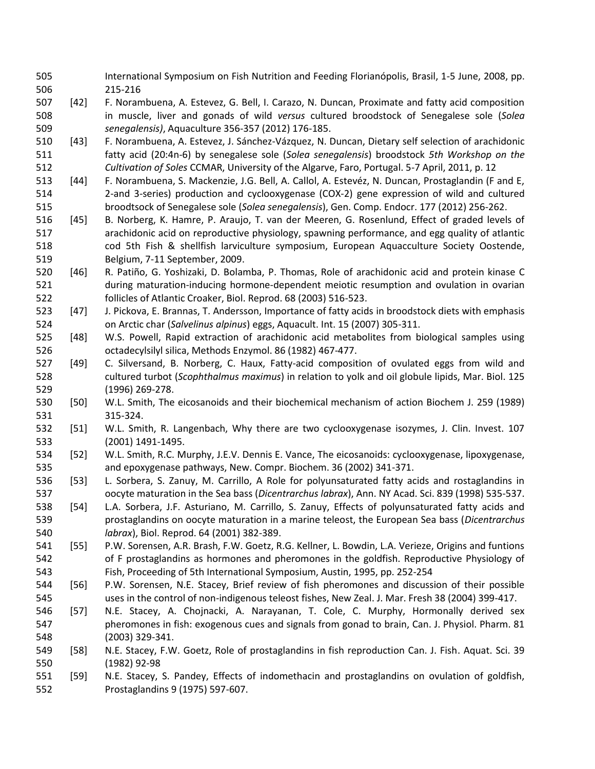- International Symposium on Fish Nutrition and Feeding Florianópolis, Brasil, 1-5 June, 2008, pp. 215-216
- [42] F. Norambuena, A. Estevez, G. Bell, I. Carazo, N. Duncan, Proximate and fatty acid composition in muscle, liver and gonads of wild *versus* cultured broodstock of Senegalese sole (*Solea senegalensis)*, Aquaculture 356-357 (2012) 176-185.
- [43] F. Norambuena, A. Estevez, J. Sánchez-Vázquez, N. Duncan, Dietary self selection of arachidonic fatty acid (20:4n-6) by senegalese sole (*Solea senegalensis*) broodstock *5th Workshop on the Cultivation of Soles* CCMAR, University of the Algarve, Faro, Portugal. 5-7 April, 2011, p. 12
- [44] F. Norambuena, S. Mackenzie, J.G. Bell, A. Callol, A. Estevéz, N. Duncan, Prostaglandin (F and E, 2-and 3-series) production and cyclooxygenase (COX-2) gene expression of wild and cultured broodtsock of Senegalese sole (*Solea senegalensis*), Gen. Comp. Endocr. 177 (2012) 256-262.
- [45] B. Norberg, K. Hamre, P. Araujo, T. van der Meeren, G. Rosenlund, Effect of graded levels of arachidonic acid on reproductive physiology, spawning performance, and egg quality of atlantic cod 5th Fish & shellfish larviculture symposium, European Aquacculture Society Oostende, Belgium, 7-11 September, 2009.
- [46] R. Patiño, G. Yoshizaki, D. Bolamba, P. Thomas, Role of arachidonic acid and protein kinase C during maturation-inducing hormone-dependent meiotic resumption and ovulation in ovarian follicles of Atlantic Croaker, Biol. Reprod. 68 (2003) 516-523.
- [47] J. Pickova, E. Brannas, T. Andersson, Importance of fatty acids in broodstock diets with emphasis on Arctic char (*Salvelinus alpinus*) eggs, Aquacult. Int. 15 (2007) 305-311.
- [48] W.S. Powell, Rapid extraction of arachidonic acid metabolites from biological samples using octadecylsilyl silica, Methods Enzymol. 86 (1982) 467-477.
- [49] C. Silversand, B. Norberg, C. Haux, Fatty-acid composition of ovulated eggs from wild and cultured turbot (*Scophthalmus maximus*) in relation to yolk and oil globule lipids, Mar. Biol. 125 (1996) 269-278.
- [50] W.L. Smith, The eicosanoids and their biochemical mechanism of action Biochem J. 259 (1989) 315-324.
- [51] W.L. Smith, R. Langenbach, Why there are two cyclooxygenase isozymes, J. Clin. Invest. 107 (2001) 1491-1495.
- [52] W.L. Smith, R.C. Murphy, J.E.V. Dennis E. Vance, The eicosanoids: cyclooxygenase, lipoxygenase, and epoxygenase pathways, New. Compr. Biochem. 36 (2002) 341-371.
- [53] L. Sorbera, S. Zanuy, M. Carrillo, A Role for polyunsaturated fatty acids and rostaglandins in oocyte maturation in the Sea bass (*Dicentrarchus labrax*), Ann. NY Acad. Sci. 839 (1998) 535-537.
- [54] L.A. Sorbera, J.F. Asturiano, M. Carrillo, S. Zanuy, Effects of polyunsaturated fatty acids and prostaglandins on oocyte maturation in a marine teleost, the European Sea bass (*Dicentrarchus labrax*), Biol. Reprod. 64 (2001) 382-389.
- [55] P.W. Sorensen, A.R. Brash, F.W. Goetz, R.G. Kellner, L. Bowdin, L.A. Verieze, Origins and funtions of F prostaglandins as hormones and pheromones in the goldfish. Reproductive Physiology of Fish, Proceeding of 5th International Symposium, Austin, 1995, pp. 252-254
- [56] P.W. Sorensen, N.E. Stacey, Brief review of fish pheromones and discussion of their possible uses in the control of non-indigenous teleost fishes, New Zeal. J. Mar. Fresh 38 (2004) 399-417.
- [57] N.E. Stacey, A. Chojnacki, A. Narayanan, T. Cole, C. Murphy, Hormonally derived sex pheromones in fish: exogenous cues and signals from gonad to brain, Can. J. Physiol. Pharm. 81 (2003) 329-341.
- [58] N.E. Stacey, F.W. Goetz, Role of prostaglandins in fish reproduction Can. J. Fish. Aquat. Sci. 39 (1982) 92-98
- [59] N.E. Stacey, S. Pandey, Effects of indomethacin and prostaglandins on ovulation of goldfish, Prostaglandins 9 (1975) 597-607.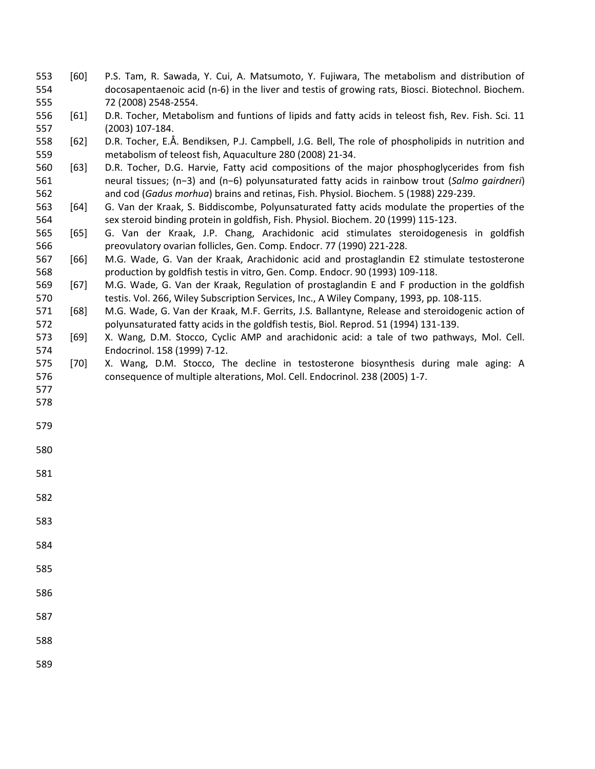- [60] P.S. Tam, R. Sawada, Y. Cui, A. Matsumoto, Y. Fujiwara, The metabolism and distribution of docosapentaenoic acid (n-6) in the liver and testis of growing rats, Biosci. Biotechnol. Biochem. 72 (2008) 2548-2554.
- [61] D.R. Tocher, Metabolism and funtions of lipids and fatty acids in teleost fish, Rev. Fish. Sci. 11 (2003) 107-184.
- [62] D.R. Tocher, E.Å. Bendiksen, P.J. Campbell, J.G. Bell, The role of phospholipids in nutrition and metabolism of teleost fish, Aquaculture 280 (2008) 21-34.
- [63] D.R. Tocher, D.G. Harvie, Fatty acid compositions of the major phosphoglycerides from fish neural tissues; (n−3) and (n−6) polyunsaturated fatty acids in rainbow trout (*Salmo gairdneri*) and cod (*Gadus morhua*) brains and retinas, Fish. Physiol. Biochem. 5 (1988) 229-239.
- [64] G. Van der Kraak, S. Biddiscombe, Polyunsaturated fatty acids modulate the properties of the sex steroid binding protein in goldfish, Fish. Physiol. Biochem. 20 (1999) 115-123.
- [65] G. Van der Kraak, J.P. Chang, Arachidonic acid stimulates steroidogenesis in goldfish preovulatory ovarian follicles, Gen. Comp. Endocr. 77 (1990) 221-228.
- [66] M.G. Wade, G. Van der Kraak, Arachidonic acid and prostaglandin E2 stimulate testosterone production by goldfish testis in vitro, Gen. Comp. Endocr. 90 (1993) 109-118.
- [67] M.G. Wade, G. Van der Kraak, Regulation of prostaglandin E and F production in the goldfish testis. Vol. 266, Wiley Subscription Services, Inc., A Wiley Company, 1993, pp. 108-115.
- [68] M.G. Wade, G. Van der Kraak, M.F. Gerrits, J.S. Ballantyne, Release and steroidogenic action of polyunsaturated fatty acids in the goldfish testis, Biol. Reprod. 51 (1994) 131-139.
- [69] X. Wang, D.M. Stocco, Cyclic AMP and arachidonic acid: a tale of two pathways, Mol. Cell. Endocrinol. 158 (1999) 7-12.
- [70] X. Wang, D.M. Stocco, The decline in testosterone biosynthesis during male aging: A consequence of multiple alterations, Mol. Cell. Endocrinol. 238 (2005) 1-7.
- 
- 
- 
- 
- 
- 
- 
- 
- 
- 
- 
-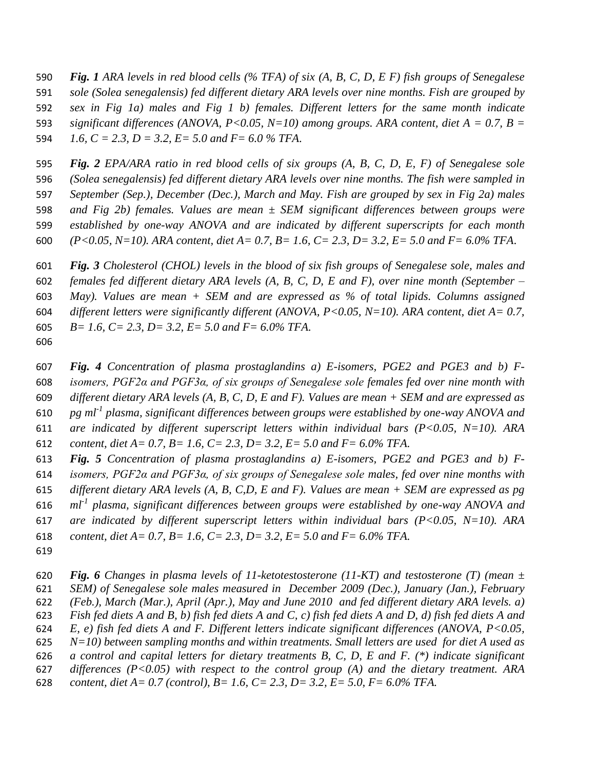*Fig. 1 ARA levels in red blood cells (% TFA) of six (A, B, C, D, E F) fish groups of Senegalese sole (Solea senegalensis) fed different dietary ARA levels over nine months. Fish are grouped by sex in Fig 1a) males and Fig 1 b) females. Different letters for the same month indicate significant differences (ANOVA, P<0.05, N=10) among groups. ARA content, diet A = 0.7, B = 1.6, C = 2.3, D = 3.2, E= 5.0 and F= 6.0 % TFA.*

 *Fig. 2 EPA/ARA ratio in red blood cells of six groups (A, B, C, D, E, F) of Senegalese sole (Solea senegalensis) fed different dietary ARA levels over nine months. The fish were sampled in September (Sep.), December (Dec.), March and May. Fish are grouped by sex in Fig 2a) males and Fig 2b) females. Values are mean ± SEM significant differences between groups were established by one-way ANOVA and are indicated by different superscripts for each month (P<0.05, N=10). ARA content, diet A= 0.7, B= 1.6, C= 2.3, D= 3.2, E= 5.0 and F= 6.0% TFA*.

 *Fig. 3 Cholesterol (CHOL) levels in the blood of six fish groups of Senegalese sole, males and females fed different dietary ARA levels (A, B, C, D, E and F), over nine month (September – May). Values are mean + SEM and are expressed as % of total lipids. Columns assigned different letters were significantly different (ANOVA, P<0.05, N=10). ARA content, diet A= 0.7, B= 1.6, C= 2.3, D= 3.2, E= 5.0 and F= 6.0% TFA.* 

 *Fig. 4 Concentration of plasma prostaglandins a) E-isomers, PGE2 and PGE3 and b) F- isomers, PGF2α and PGF3α, of six groups of Senegalese sole females fed over nine month with different dietary ARA levels (A, B, C, D, E and F). Values are mean + SEM and are expressed as pg ml<sup>-1</sup> plasma, significant differences between groups were established by one-way ANOVA and are indicated by different superscript letters within individual bars (P<0.05, N=10). ARA content, diet A= 0.7, B= 1.6, C= 2.3, D= 3.2, E= 5.0 and F= 6.0% TFA. Fig. 5 Concentration of plasma prostaglandins a) E-isomers, PGE2 and PGE3 and b) F-*

 *isomers, PGF2α and PGF3α, of six groups of Senegalese sole males, fed over nine months with different dietary ARA levels (A, B, C,D, E and F). Values are mean + SEM are expressed as pg ml*<sup>*1*</sup> plasma, significant differences between groups were established by one-way ANOVA and *are indicated by different superscript letters within individual bars (P<0.05, N=10). ARA content, diet A= 0.7, B= 1.6, C= 2.3, D= 3.2, E= 5.0 and F= 6.0% TFA.*

 *Fig. 6 Changes in plasma levels of 11-ketotestosterone (11-KT) and testosterone (T) (mean ± SEM) of Senegalese sole males measured in December 2009 (Dec.), January (Jan.), February (Feb.), March (Mar.), April (Apr.), May and June 2010 and fed different dietary ARA levels. a) Fish fed diets A and B, b) fish fed diets A and C, c) fish fed diets A and D, d) fish fed diets A and E, e) fish fed diets A and F. Different letters indicate significant differences (ANOVA, P<0.05, N=10) between sampling months and within treatments. Small letters are used for diet A used as a control and capital letters for dietary treatments B, C, D, E and F. (\*) indicate significant differences (P<0.05) with respect to the control group (A) and the dietary treatment. ARA content, diet A= 0.7 (control), B= 1.6, C= 2.3, D= 3.2, E= 5.0, F= 6.0% TFA.*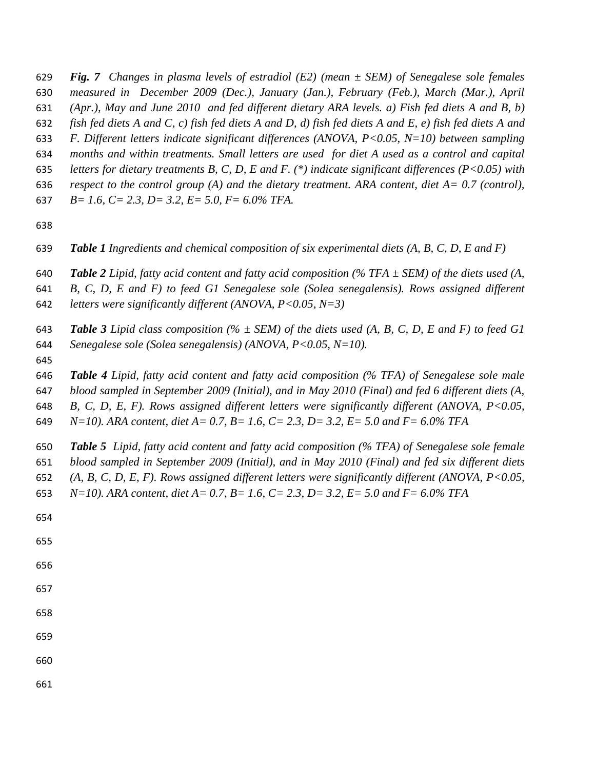- *Fig. 7 Changes in plasma levels of estradiol (E2) (mean ± SEM) of Senegalese sole females*
- *measured in December 2009 (Dec.), January (Jan.), February (Feb.), March (Mar.), April*
- *(Apr.), May and June 2010 and fed different dietary ARA levels. a) Fish fed diets A and B, b)*
- *fish fed diets A and C, c) fish fed diets A and D, d) fish fed diets A and E, e) fish fed diets A and*
- *F. Different letters indicate significant differences (ANOVA, P<0.05, N=10) between sampling*
- *months and within treatments. Small letters are used for diet A used as a control and capital*
- *letters for dietary treatments B, C, D, E and F. (\*) indicate significant differences (P<0.05) with*
- *respect to the control group (A) and the dietary treatment. ARA content, diet A= 0.7 (control),*
- *B= 1.6, C= 2.3, D= 3.2, E= 5.0, F= 6.0% TFA.*
- 
- *Table 1 Ingredients and chemical composition of six experimental diets (A, B, C, D, E and F)*
- *Table 2 Lipid, fatty acid content and fatty acid composition (% TFA ± SEM) of the diets used (A,*
- *B, C, D, E and F) to feed G1 Senegalese sole (Solea senegalensis). Rows assigned different*
- *letters were significantly different (ANOVA, P<0.05, N=3)*
- *Table 3 Lipid class composition (% ± SEM) of the diets used (A, B, C, D, E and F) to feed G1 Senegalese sole (Solea senegalensis) (ANOVA, P<0.05, N=10).*
- 
- *Table 4 Lipid, fatty acid content and fatty acid composition (% TFA) of Senegalese sole male*
- *blood sampled in September 2009 (Initial), and in May 2010 (Final) and fed 6 different diets (A,*
- *B, C, D, E, F). Rows assigned different letters were significantly different (ANOVA, P<0.05,*
- *N=10). ARA content, diet A= 0.7, B= 1.6, C= 2.3, D= 3.2, E= 5.0 and F= 6.0% TFA*
- *Table 5 Lipid, fatty acid content and fatty acid composition (% TFA) of Senegalese sole female blood sampled in September 2009 (Initial), and in May 2010 (Final) and fed six different diets*
- *(A, B, C, D, E, F). Rows assigned different letters were significantly different (ANOVA, P<0.05,*
- *N=10). ARA content, diet A= 0.7, B= 1.6, C= 2.3, D= 3.2, E= 5.0 and F= 6.0% TFA*
- 
- 
- 
- 
- 
- 
- 
- 
-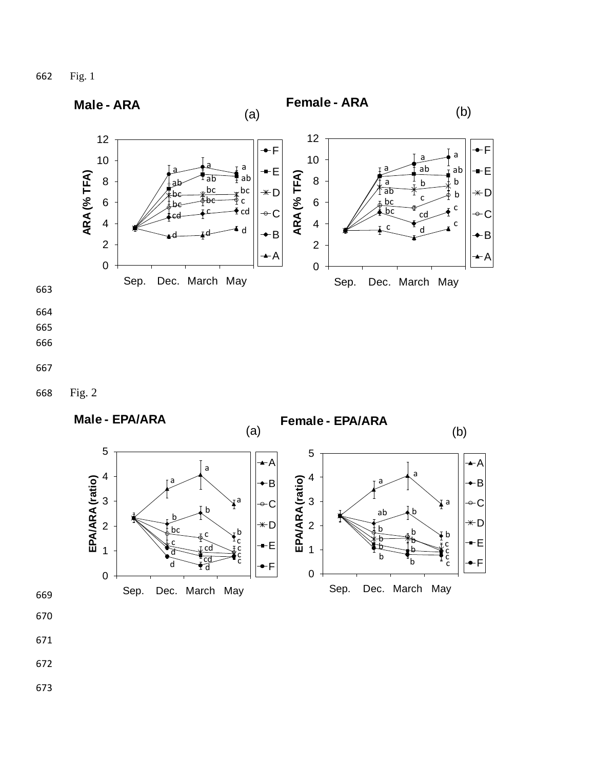662 Fig. 1



- 670
- 671
- 672
- 673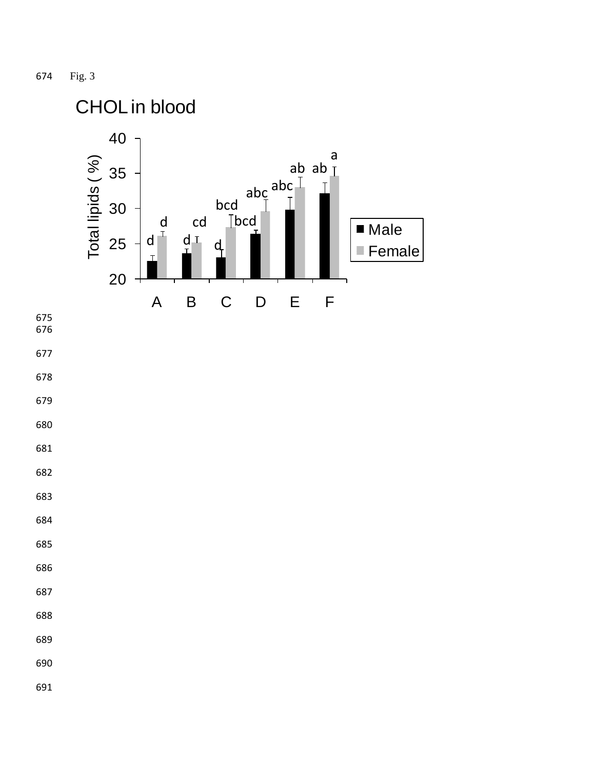Fig. 3

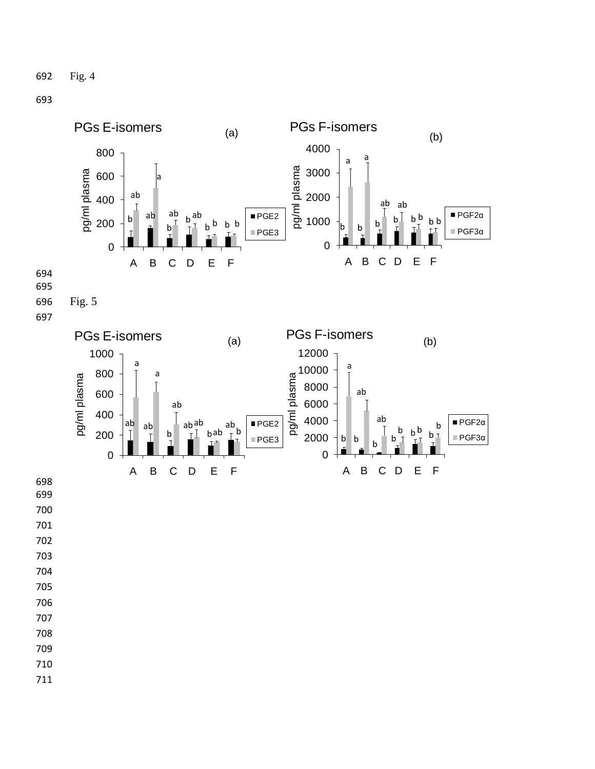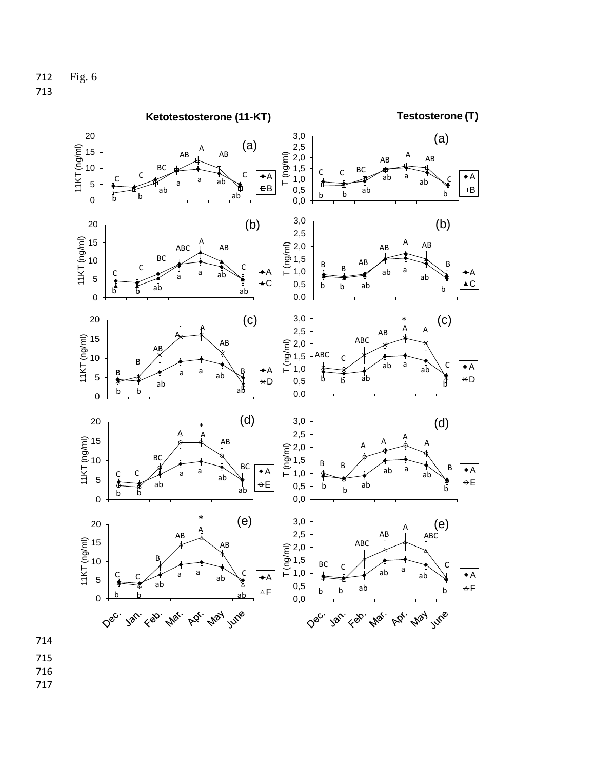

714

715 716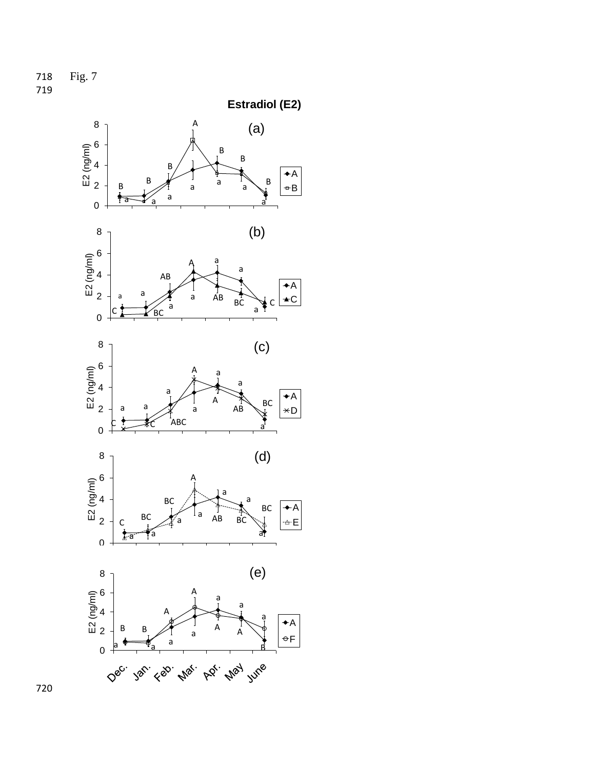718 Fig. 7 719

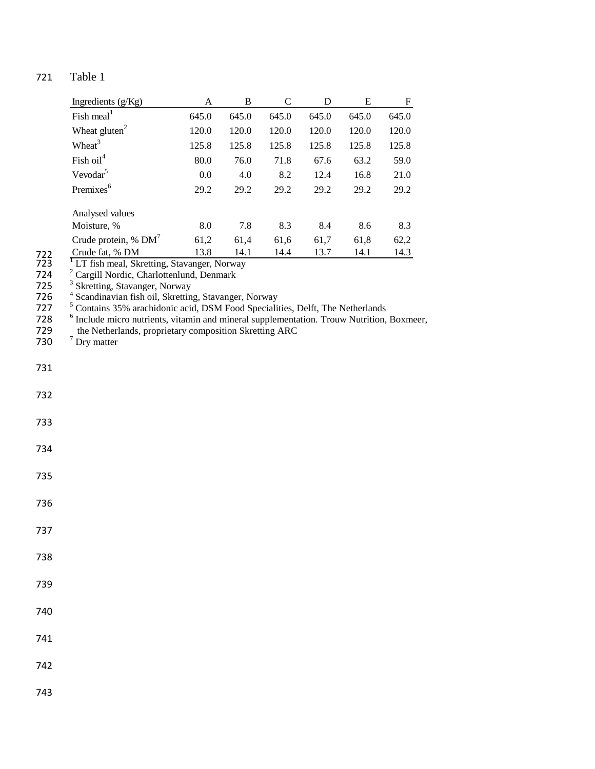| Ingredients (g/Kg)        | A     | B     | C     | D     | Е     | F     |
|---------------------------|-------|-------|-------|-------|-------|-------|
| Fish meal <sup>1</sup>    | 645.0 | 645.0 | 645.0 | 645.0 | 645.0 | 645.0 |
| Wheat $gluten2$           | 120.0 | 120.0 | 120.0 | 120.0 | 120.0 | 120.0 |
| Wheat <sup>3</sup>        | 125.8 | 125.8 | 125.8 | 125.8 | 125.8 | 125.8 |
| Fish $oil4$               | 80.0  | 76.0  | 71.8  | 67.6  | 63.2  | 59.0  |
| Vevodar <sup>5</sup>      | 0.0   | 4.0   | 8.2   | 12.4  | 16.8  | 21.0  |
| Premixes <sup>6</sup>     | 29.2  | 29.2  | 29.2  | 29.2  | 29.2  | 29.2  |
| Analysed values           |       |       |       |       |       |       |
| Moisture, %               | 8.0   | 7.8   | 8.3   | 8.4   | 8.6   | 8.3   |
| Crude protein, $%$ DM $'$ | 61,2  | 61,4  | 61.6  | 61,7  | 61,8  | 62,2  |
| Crude fat, % DM           | 13.8  | 14.1  | 14.4  | 13.7  | 14.1  | 14.3  |

722 Crude fat, % DM 13.8 14.1 14.4 13.7 14.1 14.3<br>
723 <sup>1</sup> LT fish meal, Skretting, Stavanger, Norway<br>
724 <sup>2</sup> Cargill Nordic, Charlottenlund, Denmark<br>
725 <sup>3</sup> Skretting, Stavanger, Norway<br>
726 <sup>4</sup> Scandinavian fish oil,

728 <sup>6</sup> Include micro nutrients, vitamin and mineral supplementation. Trouw Nutrition, Boxmeer, 729 the Netherlands, proprietary composition Skretting ARC<br>730 <sup>7</sup> Dry matter

730  $\frac{7}{1}$  Dry matter

731

- 733
- 734
- 735

- 736
- 737
- 738
- 
- 739
- 740
- 
- 741
- 742
- 
- 743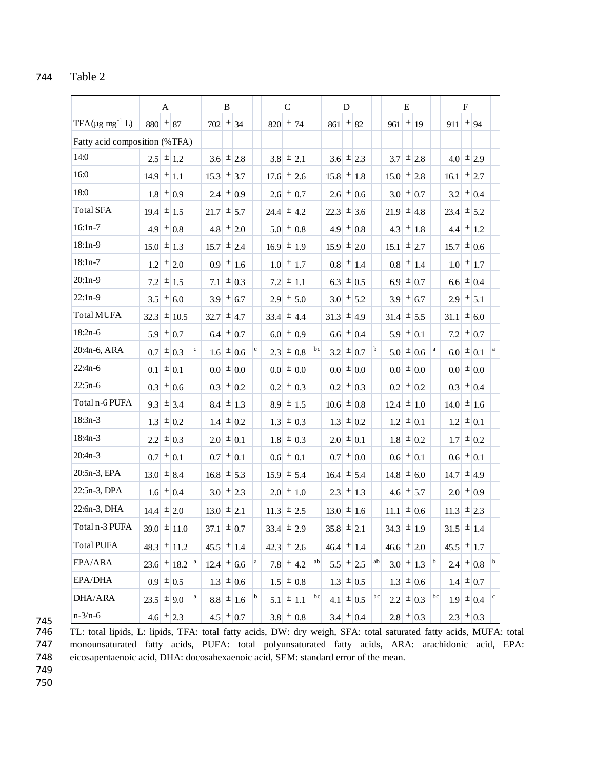|                                |                    | A                      |             |                  | B |               |                  | $\mathcal{C}$ |                          |    |                          | D |                    |                  | E |                         |                     | $\mathbf F$ |                         |   |
|--------------------------------|--------------------|------------------------|-------------|------------------|---|---------------|------------------|---------------|--------------------------|----|--------------------------|---|--------------------|------------------|---|-------------------------|---------------------|-------------|-------------------------|---|
| $TFA(\mu g \text{ mg}^{-1} L)$ | $880 \pm 87$       |                        |             | $702 \pm 34$     |   |               | $ 820  \pm  74 $ |               |                          |    | 861                      |   | $\pm$ 82           | 961              |   | $\pm$ 19                | $911 \pm 94$        |             |                         |   |
| Fatty acid composition (%TFA)  |                    |                        |             |                  |   |               |                  |               |                          |    |                          |   |                    |                  |   |                         |                     |             |                         |   |
| 14:0                           |                    | $2.5 \pm 1.2$          |             |                  |   | $3.6 \pm 2.8$ |                  |               | $3.8 \pm 2.1$            |    |                          |   | $3.6 \pm 2.3$      |                  |   | $3.7 \pm 2.8$           |                     |             | $4.0 \pm 2.9$           |   |
| 16:0                           | $14.9 \pm 1.1$     |                        |             | 15.3             |   | $\pm$ 3.7     | 17.6             |               | $\pm$ 2.6                |    | 15.8                     |   | $\pm$ 1.8          | $15.0 \pm 2.8$   |   |                         | 16.1                |             | $\pm$ 2.7               |   |
| 18:0                           |                    | $1.8 \pm 0.9$          |             | 2.4              |   | $\pm 0.9$     |                  |               | $2.6 \pm 0.7$            |    |                          |   | $2.6 \pm 0.6$      |                  |   | $3.0 \pm 0.7$           |                     |             | $3.2 \mid \pm 0.4$      |   |
| <b>Total SFA</b>               | $19.4 \pm 1.5$     |                        |             | 21.7             |   | $\pm$ 5.7     | 24.4             |               | $\pm$ 4.2                |    | 22.3                     |   | $\pm$ 3.6          | $21.9 \pm 4.8$   |   |                         | $23.4 \pm 5.2$      |             |                         |   |
| $16:1n-7$                      |                    | $4.9 \pm 0.8$          |             | 4.8              |   | $\pm$ 2.0     |                  |               | $5.0 \pm 0.8$            |    |                          |   | 4.9 $\pm$ 0.8      |                  |   | 4.3 $\pm$ 1.8           |                     |             | 4.4 $\pm$ 1.2           |   |
| 18:1n-9                        | $15.0 \pm 1.3$     |                        |             | 15.7             |   | $\pm$ 2.4     | 16.9             |               | $\pm$ 1.9                |    | $15.9 \pm 2.0$           |   |                    | 15.1             |   | $\pm$ 2.7               | 15.7                |             | $\pm 0.6$               |   |
| $18:1n-7$                      |                    | $1.2 \mid \pm 2.0$     |             | 0.9              |   | $\pm$  1.6    |                  |               | $1.0 \pm 1.7$            |    |                          |   | $0.8 \pm 1.4$      |                  |   | $0.8 \mid \pm \mid 1.4$ |                     |             | $1.0 \pm 1.7$           |   |
| $20:1n-9$                      | 7.2                | $\pm$  1.5             |             | 7.1              |   | $\pm 0.3$     | 7.2              |               | $\pm$ 1.1                |    | 6.3                      |   | $\pm 0.5$          | 6.9              |   | $\pm 0.7$               | 6.6                 |             | $\pm 0.4$               |   |
| $22:1n-9$                      |                    | $3.5 \pm 6.0$          |             |                  |   | $3.9 \pm 6.7$ |                  |               | $2.9 \pm 5.0$            |    |                          |   | $3.0 \pm 5.2$      |                  |   | $3.9 \pm 6.7$           |                     |             | $2.9 \pm 5.1$           |   |
| <b>Total MUFA</b>              | 32.3               | $\pm$ 10.5             |             | 32.7             |   | $\pm$ 4.7     | $33.4 \pm 4.4$   |               |                          |    | 31.3                     |   | $\pm$ 4.9          | 31.4             |   | $\pm$ 5.5               | 31.1                |             | $\pm 6.0$               |   |
| $18:2n-6$                      |                    | $5.9 \pm 0.7$          |             |                  |   | 6.4 $\pm 0.7$ |                  |               | 6.0 $\pm$ 0.9            |    |                          |   | 6.6 $\pm 0.4$      |                  |   | $5.9 \pm 0.1$           |                     |             | 7.2 $\pm$ 0.7           |   |
| 20:4n-6, ARA                   | 0.7                | $\pm 0.3$              | $\mathbf c$ | 1.6              |   | $\pm 0.6$     | 2.3              |               | $\pm 0.8$                | bc | 3.2                      |   | $\pm 0.7$          | 5.0              |   | $\pm 0.6$               | 6.0                 |             | $\pm  0.1$              |   |
| $22:4n-6$                      | 0.1                | $\pm 0.1$              |             |                  |   | $0.0 \pm 0.0$ |                  |               | $0.0 \pm 0.0$            |    |                          |   | $0.0 \pm 0.0$      |                  |   | $0.0 \pm 0.0$           |                     |             | $0.0$ = 0.0             |   |
| $22:5n-6$                      | 0.3                | $\pm 0.6$              |             | 0.3              |   | $\pm 0.2$     | 0.2              |               | $\pm 0.3$                |    |                          |   | $0.2 \mid \pm 0.3$ | 0.2              |   | $\pm 0.2$               | 0.3                 |             | $\pm 0.4$               |   |
| Total n-6 PUFA                 |                    | $9.3 \pm 3.4$          |             |                  |   | 8.4 $\pm$ 1.3 |                  |               | $8.9 \pm 1.5$            |    | $10.6 \pm 0.8$           |   |                    | $12.4 \pm 1.0$   |   |                         | $14.0 \pm 1.6$      |             |                         |   |
| $18:3n-3$                      | 1.3                | $\pm 0.2$              |             | 1.4              |   | $\pm 0.2$     | 1.3              |               | $\pm 0.3$                |    | 1.3                      |   | $\pm 0.2$          | 1.2              |   | $\pm  0.1$              |                     |             | $1.2 \pm 0.1$           |   |
| $18:4n-3$                      |                    | $2.2 \pm 0.3$          |             | $2.0 \pm 0.1$    |   |               |                  |               | $1.8 \pm 0.3$            |    | $2.0 \pm 0.1$            |   |                    |                  |   | $1.8 \pm 0.2$           |                     |             | $1.7 \pm 0.2$           |   |
| $20:4n-3$                      | 0.7                | $\pm  0.1$             |             | 0.7              |   | $\pm  0.1$    |                  |               | $0.6 \pm 0.1$            |    | 0.7                      |   | $\pm 0.0$          | 0.6 <sub>l</sub> |   | $\pm 0.1$               |                     |             | $0.6 \pm 0.1$           |   |
| 20:5n-3, EPA                   | $ 13.0  \pm  8.4 $ |                        |             | $16.8 \div 5.3$  |   |               | $15.9 \pm 5.4$   |               |                          |    | $16.4 \mid \pm \mid 5.4$ |   |                    | $14.8 \pm 6.0$   |   |                         | $14.7 \pm 4.9$      |             |                         |   |
| 22:5n-3, DPA                   |                    | $1.6 \pm 0.4$          |             |                  |   | $3.0 \pm 2.3$ |                  |               | $2.0 \pm 1.0$            |    |                          |   | $2.3 \pm 1.3$      |                  |   | 4.6 $\pm$ 5.7           |                     |             | $2.0 \pm 0.9$           |   |
| 22:6n-3, DHA                   | $14.4 \pm 2.0$     |                        |             | 13.0             |   | $\pm$ 2.1     | $ 11.3  \pm 2.5$ |               |                          |    | 13.0                     |   | $\pm$  1.6         | 11.1             |   | $\pm 0.6$               | $ 11.3  \pm  2.3 $  |             |                         |   |
| Total n-3 PUFA                 |                    | $39.0 \pm 11.0$        |             | $37.1 \pm 0.7$   |   |               | $33.4 \pm 2.9$   |               |                          |    | $35.8 \pm 2.1$           |   |                    | $34.3 \pm 1.9$   |   |                         | $31.5 \pm 1.4$      |             |                         |   |
| <b>Total PUFA</b>              |                    | $48.3 \pm 11.2$        |             | $45.5 \pm 1.4$   |   |               | $ 42.3  \pm 2.6$ |               |                          |    | $46.4 \pm 1.4$           |   |                    | $46.6 \pm 2.0$   |   |                         | $45.5 \mid \pm 1.7$ |             |                         |   |
| EPA/ARA                        |                    | 23.6 $\pm$ 18.2 $^{a}$ |             | $ 12.4  \pm 6.6$ |   |               |                  |               | $7.8 \pm 4.2$            | ab |                          |   | $5.5$ = 2.5        |                  |   | $3.0 \pm 1.3$           |                     |             | $2.4 \pm 0.8$           | b |
| EPA/DHA                        |                    | $0.9 \pm 0.5$          |             |                  |   | $1.3 \pm 0.6$ |                  |               | $1.5 \mid \pm  0.8 \mid$ |    |                          |   | $1.3 \pm 0.5$      |                  |   | $1.3 \mid \pm  0.6$     |                     |             | $1.4 \mid \pm 0.7$      |   |
| DHA/ARA                        | $23.5 \pm 9.0$     |                        |             |                  |   | $8.8 \pm 1.6$ |                  |               | $5.1 \pm 1.1$            | bc |                          |   | 4.1 $\pm$ 0.5      |                  |   | $2.2 \pm 0.3$           |                     |             | $1.9 \pm 0.4$ $\degree$ |   |
| $n - 3/n - 6$                  |                    | 4.6 $\pm$ 2.3          |             |                  |   | 4.5 $\pm$ 0.7 |                  |               | $3.8 \pm 0.8$            |    |                          |   | $3.4 \pm 0.4$      |                  |   | $2.8 \pm 0.3$           |                     |             | $2.3 \mid \pm 0.3$      |   |

745

TL: total lipids, L: lipids, TFA: total fatty acids, DW: dry weigh, SFA: total saturated fatty acids, MUFA: total 747 monounsaturated fatty acids, PUFA: total polyunsaturated fatty acids, ARA: arachidonic acid, EPA: 748 eicosapentaenoic acid, DHA: docosahexaenoic acid, SEM: standard error of the mean.

749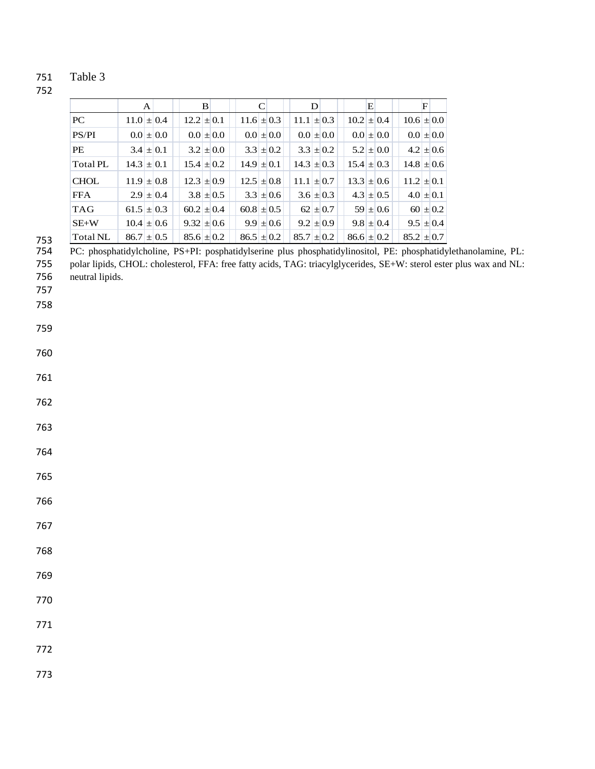|                 | A              | B              |                | D              | E              | $\mathbf F$    |
|-----------------|----------------|----------------|----------------|----------------|----------------|----------------|
| PC.             | $11.0 \pm 0.4$ | $12.2 \pm 0.1$ | $11.6 \pm 0.3$ | $11.1 \pm 0.3$ | $10.2 \pm 0.4$ | $10.6 \pm 0.0$ |
| PS/PI           | $0.0 \pm 0.0$  | $0.01 \pm 0.0$ | $0.0 \pm 0.0$  | $0.01 \pm 0.0$ | $0.0 \pm 0.0$  | $0.0 \pm 0.0$  |
| <b>PE</b>       | $3.4 \pm 0.1$  | $3.2 \pm 0.0$  | $3.3 \pm 0.2$  | $3.3 \pm 0.2$  | $5.2 \pm 0.0$  | $4.2 \pm 0.6$  |
| Total PL        | $14.3 \pm 0.1$ | $15.4 \pm 0.2$ | $14.9 \pm 0.1$ | $14.3 \pm 0.3$ | $15.4 \pm 0.3$ | $14.8 \pm 0.6$ |
| <b>CHOL</b>     | $11.9 \pm 0.8$ | $12.3 \pm 0.9$ | $12.5 \pm 0.8$ | $11.1 \pm 0.7$ | $13.3 \pm 0.6$ | $11.2 \pm 0.1$ |
| <b>FFA</b>      | $2.9 \pm 0.4$  | $3.8 \pm 0.5$  | $3.3 \pm 0.6$  | $3.6 \pm 0.3$  | $4.3 \pm 0.5$  | $4.0 \pm 0.1$  |
| <b>TAG</b>      | $61.5 \pm 0.3$ | $60.2 \pm 0.4$ | $60.8 \pm 0.5$ | $62 \pm 0.7$   | $59 \pm 0.6$   | $60 \pm 0.2$   |
| $SE+W$          | $10.4 \pm 0.6$ | $9.32 \pm 0.6$ | $9.9 \pm 0.6$  | $9.2 \pm 0.9$  | $9.8 \pm 0.4$  | $9.5 \pm 0.4$  |
| Total NL<br>753 | $86.7 \pm 0.5$ | $85.6 \pm 0.2$ | $86.5 \pm 0.2$ | $85.7 \pm 0.2$ | $86.6 \pm 0.2$ | $85.2 \pm 0.7$ |

PC: phosphatidylcholine, PS+PI: posphatidylserine plus phosphatidylinositol, PE: phosphatidylethanolamine, PL:

 polar lipids, CHOL: cholesterol, FFA: free fatty acids, TAG: triacylglycerides, SE+W: sterol ester plus wax and NL: neutral lipids.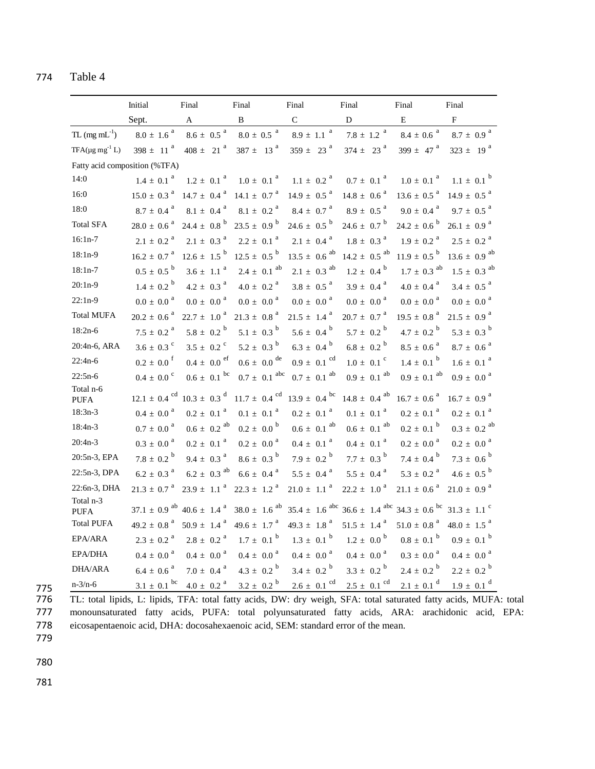|                          | Initial                       | Final                       | Final                        | Final                        | Final                         | Final                       | Final                        |
|--------------------------|-------------------------------|-----------------------------|------------------------------|------------------------------|-------------------------------|-----------------------------|------------------------------|
|                          | Sept.                         | A                           | B                            | $\mathbf{C}$                 | D                             | Ε                           | $\mathbf{F}$                 |
| $TL (mg mL-1)$           | $8.0 \pm 1.6$ <sup>a</sup>    | $8.6 \pm~0.5$ $^{\rm a}$    | $8.0 \pm 0.5$ <sup>a</sup>   | $8.9\,\pm\,$ 1.1 $^{\,a}$    | 7.8 $\pm$ 1.2 $^{\mathrm{a}}$ | $8.4 \pm 0.6$ <sup>a</sup>  | $8.7 \pm 0.9$ <sup>a</sup>   |
| $TFA(\mu g mg^{-1} L)$   | $398 \pm 11^{a}$              | $408 \pm 21^{a}$            | $387 \pm 13^{a}$             | $359 \pm 23$ <sup>a</sup>    | $374 \pm 23$ <sup>a</sup>     | 399 $\pm$ 47 <sup>a</sup>   | $323 \pm 19^{a}$             |
|                          | Fatty acid composition (%TFA) |                             |                              |                              |                               |                             |                              |
| 14:0                     | $1.4 \pm 0.1$ <sup>a</sup>    | $1.2 \pm 0.1$ <sup>a</sup>  | $1.0 \pm 0.1$ <sup>a</sup>   | $1.1 \pm 0.2$ <sup>a</sup>   | $0.7 \pm 0.1$ <sup>a</sup>    | $1.0 \pm 0.1$ <sup>a</sup>  | $1.1 \pm 0.1^{b}$            |
| 16:0                     | $15.0 \pm 0.3$ <sup>a</sup>   | $14.7 \pm 0.4$ <sup>a</sup> | $14.1 \pm 0.7$ <sup>a</sup>  | $14.9 \pm 0.5$ <sup>a</sup>  | $14.8 \pm 0.6^{a}$            | $13.6 \pm 0.5^{a}$          | $14.9 \pm 0.5^{a}$           |
| 18:0                     | $8.7 \pm 0.4$ <sup>a</sup>    | $8.1 \pm 0.4$ <sup>a</sup>  | $8.1 \pm 0.2$ <sup>a</sup>   | $8.4 \pm 0.7$ <sup>a</sup>   | $8.9 \pm 0.5$ <sup>a</sup>    | $9.0 \pm 0.4$ <sup>a</sup>  | $9.7 \pm 0.5$ <sup>a</sup>   |
| <b>Total SFA</b>         | $28.0 \pm 0.6$ <sup>a</sup>   | 24.4 $\pm$ 0.8 <sup>b</sup> | $23.5 \pm 0.9^{b}$           | 24.6 $\pm$ 0.5 <sup>b</sup>  | $24.6 \pm 0.7^{b}$            | $24.2 \pm 0.6^{b}$          | $26.1 \pm 0.9$ <sup>a</sup>  |
| $16:1n-7$                | $2.1 \pm 0.2$ <sup>a</sup>    | $2.1 \pm 0.3$ <sup>a</sup>  | $2.2 \pm 0.1$ <sup>a</sup>   | $2.1 \pm 0.4$ <sup>a</sup>   | $1.8 \pm 0.3$ <sup>a</sup>    | $1.9 \pm 0.2$ <sup>a</sup>  | $2.5\,\pm\,$ 0.2 $^{\rm a}$  |
| $18:1n-9$                | $16.2 \pm 0.7$ <sup>a</sup>   | $12.6 \pm 1.5^{b}$          | $12.5 \pm 0.5^{b}$           | $13.5 \pm 0.6$ <sup>ab</sup> | $14.2 \pm 0.5$ <sup>ab</sup>  | $11.9 \pm 0.5^{b}$          | $13.6 \pm 0.9$ <sup>ab</sup> |
| $18:1n-7$                | $0.5 \pm 0.5^{b}$             | $3.6 \pm 1.1$ <sup>a</sup>  | $2.4 \pm 0.1$ <sup>ab</sup>  | $2.1 \pm 0.3$ <sup>ab</sup>  | $1.2 \pm 0.4^{b}$             | $1.7 \pm 0.3$ <sup>ab</sup> | $1.5 \pm 0.3$ <sup>ab</sup>  |
| $20:1n-9$                | $1.4 \pm 0.2^{b}$             | $4.2 \pm 0.3$ <sup>a</sup>  | $4.0 \pm 0.2$ <sup>a</sup>   | $3.8 \pm 0.5$ <sup>a</sup>   | $3.9 \pm 0.4$ <sup>a</sup>    | $4.0 \pm 0.4$ <sup>a</sup>  | $3.4 \pm 0.5$ <sup>a</sup>   |
| $22:1n-9$                | $0.0 \pm 0.0$ <sup>a</sup>    | $0.0 \pm 0.0$ <sup>a</sup>  | $0.0 \pm 0.0$ <sup>a</sup>   | $0.0 \pm 0.0$ <sup>a</sup>   | $0.0 \pm 0.0$ <sup>a</sup>    | $0.0 \pm 0.0$ <sup>a</sup>  | $0.0 \pm\ 0.0$ $^{\rm a}$    |
| <b>Total MUFA</b>        | $20.2 \pm 0.6$ <sup>a</sup>   | $22.7 \pm 1.0^{\circ}$      | $21.3 \pm 0.8$ <sup>a</sup>  | $21.5 \pm 1.4$ <sup>a</sup>  | $20.7 \pm 0.7$ <sup>a</sup>   | $19.5 \pm 0.8$ <sup>a</sup> | $21.5 \pm 0.9$ <sup>a</sup>  |
| $18:2n-6$                | $7.5 \pm 0.2$ <sup>a</sup>    | $5.8 \pm 0.2^{b}$           | $5.1 \pm 0.3^{b}$            | $5.6 \pm 0.4^{b}$            | $5.7 \pm 0.2^{b}$             | 4.7 $\pm$ 0.2 <sup>b</sup>  | $5.3 \pm 0.3^{b}$            |
| 20:4n-6, ARA             | $3.6 \pm 0.3$ °               | $3.5 \pm 0.2$ <sup>c</sup>  | $5.2 \pm 0.3^{\circ}$        | $6.3 \pm 0.4^{b}$            | $6.8 \pm 0.2^{b}$             | $8.5 \pm 0.6$ <sup>a</sup>  | $8.7 \pm 0.6$ <sup>a</sup>   |
| $22:4n-6$                | $0.2 \pm 0.0$ <sup>f</sup>    | $0.4 \pm 0.0$ ef            | $0.6 \pm 0.0$ <sup>de</sup>  | $0.9 \pm 0.1$ <sup>cd</sup>  | $1.0 \pm 0.1$ °               | $1.4 \pm 0.1^{b}$           | $1.6\pm\ 0.1$ $^{\rm a}$     |
| $22:5n-6$                | $0.4 \pm 0.0$ °               | $0.6 \pm 0.1$ bc            | $0.7 \pm 0.1$ abc            | $0.7 \pm 0.1$ <sup>ab</sup>  | $0.9 \pm 0.1$ <sup>ab</sup>   | $0.9 \pm 0.1$ <sup>ab</sup> | $0.9 \pm\ 0.0$ $^{\rm a}$    |
| Total n-6<br><b>PUFA</b> | $12.1 \pm 0.4$ <sup>cd</sup>  | $10.3 \pm 0.3$ <sup>d</sup> | $11.7 \pm 0.4$ <sup>cd</sup> | $13.9 \pm 0.4$ bc            | $14.8 \pm 0.4$ <sup>ab</sup>  | $16.7 \pm 0.6^{a}$          | $16.7 \pm 0.9$ <sup>a</sup>  |
| $18:3n-3$                | $0.4 \pm 0.0$ <sup>a</sup>    | $0.2 \pm 0.1$ <sup>a</sup>  | $0.1 \pm 0.1$ <sup>a</sup>   | $0.2 \pm 0.1$ <sup>a</sup>   | $0.1 \pm 0.1$ <sup>a</sup>    | $0.2 \pm 0.1$ <sup>a</sup>  | $0.2 \pm 0.1$ <sup>a</sup>   |
| $18:4n-3$                | $0.7 \pm 0.0$ <sup>a</sup>    | $0.6 \pm 0.2$ <sup>ab</sup> | $0.2 \pm 0.0^{\circ}$        | $0.6 \pm 0.1$ <sup>ab</sup>  | $0.6 \pm 0.1$ <sup>ab</sup>   | $0.2 \pm 0.1$ <sup>b</sup>  | $0.3 \pm 0.2$ <sup>ab</sup>  |
| $20:4n-3$                | $0.3 \pm 0.0$ <sup>a</sup>    | $0.2 \pm 0.1$ <sup>a</sup>  | $0.2 \pm 0.0$ <sup>a</sup>   | $0.4 \pm 0.1$ <sup>a</sup>   | $0.4 \pm 0.1$ <sup>a</sup>    | $0.2 \pm 0.0$ <sup>a</sup>  | $0.2 \pm 0.0$ <sup>a</sup>   |
| 20:5n-3, EPA             | $7.8 \pm 0.2^{\circ}$         | $9.4 \pm 0.3$ <sup>a</sup>  | $8.6 \pm 0.3^{b}$            | $7.9 \pm 0.2^{b}$            | 7.7 $\pm$ 0.3 <sup>b</sup>    | 7.4 $\pm$ 0.4 $^{\rm b}$    | $7.3 \pm 0.6^{b}$            |
| 22:5n-3, DPA             | $6.2 \pm 0.3$ <sup>a</sup>    | $6.2 \pm 0.3$ <sup>ab</sup> | $6.6 \pm 0.4$ <sup>a</sup>   | $5.5 \pm 0.4$ <sup>a</sup>   | $5.5 \pm 0.4$ <sup>a</sup>    | $5.3 \pm 0.2$ <sup>a</sup>  | $4.6 \pm 0.5^{b}$            |
| 22:6n-3, DHA             | $21.3 \pm 0.7$ <sup>a</sup>   | $23.9 \pm 1.1$ <sup>a</sup> | $22.3 \pm 1.2$ <sup>a</sup>  | $21.0 \pm 1.1$ <sup>a</sup>  | $22.2 \pm 1.0$ <sup>a</sup>   | $21.1 \pm 0.6$ <sup>a</sup> | $21.0 \pm 0.9$ <sup>a</sup>  |
| Total n-3<br><b>PUFA</b> | $37.1 \pm 0.9$ <sup>ab</sup>  | $40.6 \pm 1.4$ <sup>a</sup> | $38.0 \pm 1.6$ <sup>ab</sup> | $35.4 \pm 1.6$ abc           | $36.6 \pm 1.4$ abc            | $34.3 \pm 0.6$ bc           | $31.3 \pm 1.1$ <sup>c</sup>  |
| <b>Total PUFA</b>        | 49.2 $\pm$ 0.8 $^{\text{a}}$  | $50.9 \pm 1.4$ <sup>a</sup> | $49.6 \pm 1.7$ <sup>a</sup>  | $49.3 \pm 1.8$ <sup>a</sup>  | $51.5 \pm 1.4$ <sup>a</sup>   | $51.0 \pm$ 0.8 $^{\rm a}$   | $48.0 \pm 1.5$ <sup>a</sup>  |
| EPA/ARA                  | $2.3 \pm 0.2$ <sup>a</sup>    | $2.8 \pm 0.2$ <sup>a</sup>  | $1.7 \pm 0.1$ <sup>b</sup>   | $1.3 \pm 0.1$ <sup>b</sup>   | $1.2 \pm 0.0^{\circ}$         | $0.8 \pm 0.1$ <sup>b</sup>  | $0.9 \pm 0.1^{b}$            |
| EPA/DHA                  | $0.4 \pm 0.0$ <sup>a</sup>    | $0.4 \pm 0.0$ <sup>a</sup>  | $0.4\,\pm\,\,0.0$ $^{\rm a}$ | $0.4 \pm 0.0$ <sup>a</sup>   | $0.4 \pm 0.0$ <sup>a</sup>    | $0.3\,\pm\,0.0$ $^{\rm a}$  | $0.4\,\pm\,$ 0.0 $^{\rm a}$  |
| DHA/ARA                  | $6.4 \pm 0.6$ <sup>a</sup>    | $7.0 \pm 0.4$ <sup>a</sup>  | $4.3 \pm 0.2^{b}$            | $3.4 \pm 0.2^{b}$            | $3.3 \pm 0.2^{b}$             | $2.4 \pm 0.2^{b}$           | $2.2 \pm 0.2^{b}$            |
| $n - 3/n - 6$            | $3.1 \pm 0.1$ bc              | $4.0 \pm~0.2$ $^{\rm a}$    | $3.2 \pm 0.2^{b}$            | $2.6 \pm 0.1$ <sup>cd</sup>  | $2.5 \pm 0.1$ <sup>cd</sup>   | $2.1 \pm 0.1$ <sup>d</sup>  | $1.9 \pm 0.1$ <sup>d</sup>   |

775 776 TL: total lipids, L: lipids, TFA: total fatty acids, DW: dry weigh, SFA: total saturated fatty acids, MUFA: total<br>777 monounsaturated fatty acids, PUFA: total polyunsaturated fatty acids, ARA: arachidonic acid, EPA: 777 monounsaturated fatty acids, PUFA: total polyunsaturated fatty acids, ARA: arachidonic acid, EPA: eicosapentaenoic acid, DHA: docosahexaenoic acid, SEM: standard error of the mean.

779

780